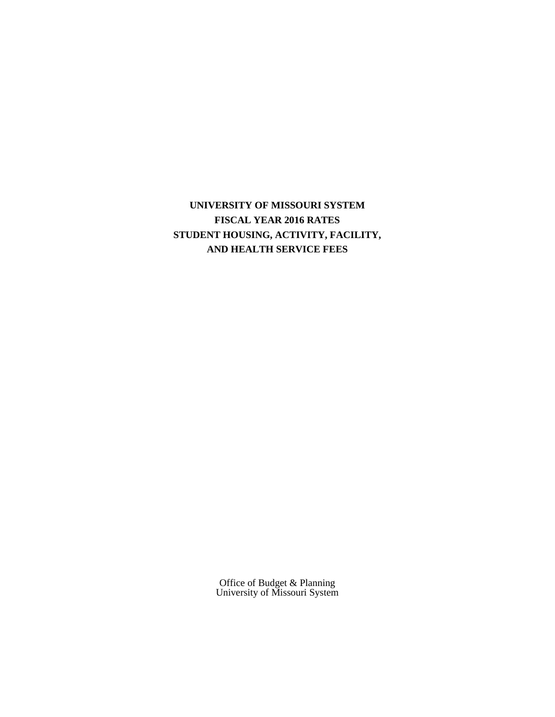**UNIVERSITY OF MISSOURI SYSTEM FISCAL YEAR 2016 RATES STUDENT HOUSING, ACTIVITY, FACILITY, AND HEALTH SERVICE FEES**

> Office of Budget & Planning University of Missouri System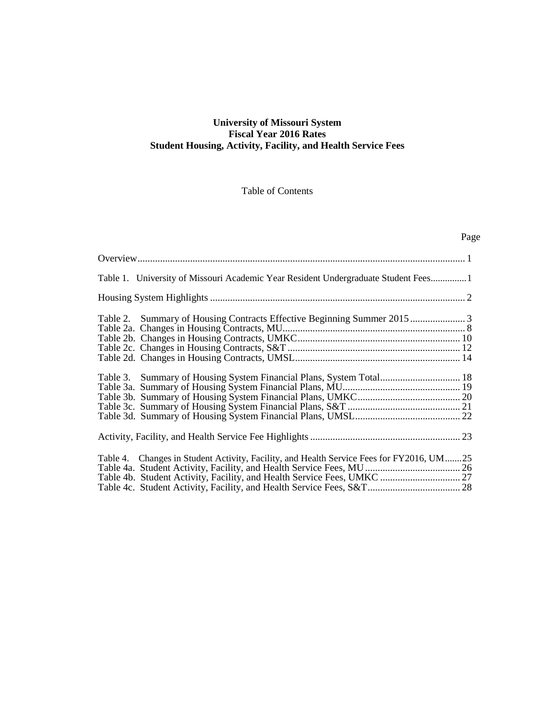### **University of Missouri System Fiscal Year 2016 Rates Student Housing, Activity, Facility, and Health Service Fees**

### Table of Contents

# Page

| Table 1. University of Missouri Academic Year Resident Undergraduate Student Fees1       |  |
|------------------------------------------------------------------------------------------|--|
|                                                                                          |  |
|                                                                                          |  |
|                                                                                          |  |
|                                                                                          |  |
| Table 3. Summary of Housing System Financial Plans, System Total 18                      |  |
|                                                                                          |  |
| Table 4. Changes in Student Activity, Facility, and Health Service Fees for FY2016, UM25 |  |
|                                                                                          |  |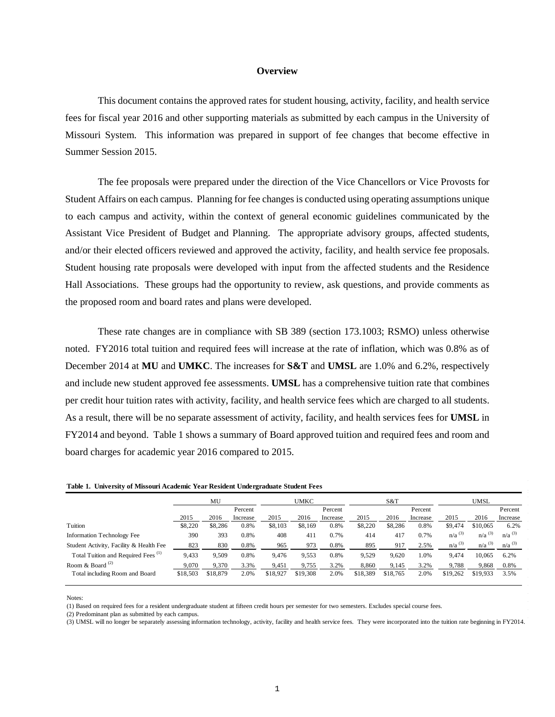#### **Overview**

This document contains the approved rates for student housing, activity, facility, and health service fees for fiscal year 2016 and other supporting materials as submitted by each campus in the University of Missouri System. This information was prepared in support of fee changes that become effective in Summer Session 2015.

The fee proposals were prepared under the direction of the Vice Chancellors or Vice Provosts for Student Affairs on each campus. Planning for fee changes is conducted using operating assumptions unique to each campus and activity, within the context of general economic guidelines communicated by the Assistant Vice President of Budget and Planning. The appropriate advisory groups, affected students, and/or their elected officers reviewed and approved the activity, facility, and health service fee proposals. Student housing rate proposals were developed with input from the affected students and the Residence Hall Associations. These groups had the opportunity to review, ask questions, and provide comments as the proposed room and board rates and plans were developed.

These rate changes are in compliance with SB 389 (section 173.1003; RSMO) unless otherwise noted. FY2016 total tuition and required fees will increase at the rate of inflation, which was 0.8% as of December 2014 at **MU** and **UMKC**. The increases for **S&T** and **UMSL** are 1.0% and 6.2%, respectively and include new student approved fee assessments. **UMSL** has a comprehensive tuition rate that combines per credit hour tuition rates with activity, facility, and health service fees which are charged to all students. As a result, there will be no separate assessment of activity, facility, and health services fees for **UMSL** in FY2014 and beyond. Table 1 shows a summary of Board approved tuition and required fees and room and board charges for academic year 2016 compared to 2015.

|  |  | Table 1. University of Missouri Academic Year Resident Undergraduate Student Fees |  |  |  |
|--|--|-----------------------------------------------------------------------------------|--|--|--|
|--|--|-----------------------------------------------------------------------------------|--|--|--|

|                                                | MU       |          | <b>UMKC</b> |          | S&T      |          | <b>UMSL</b> |          |          |                      |                      |                      |
|------------------------------------------------|----------|----------|-------------|----------|----------|----------|-------------|----------|----------|----------------------|----------------------|----------------------|
|                                                |          |          | Percent     |          |          | Percent  |             |          | Percent  |                      |                      | Percent              |
|                                                | 2015     | 2016     | Increase    | 2015     | 2016     | Increase | 2015        | 2016     | Increase | 2015                 | 2016                 | Increase             |
| Tuition                                        | \$8,220  | \$8,286  | 0.8%        | \$8,103  | \$8,169  | 0.8%     | \$8,220     | \$8,286  | 0.8%     | \$9,474              | \$10,065             | 6.2%                 |
| <b>Information Technology Fee</b>              | 390      | 393      | 0.8%        | 408      | 411      | 0.7%     | 414         | 417      | 0.7%     | $n/a$ <sup>(3)</sup> | $n/a$ <sup>(3)</sup> | $n/a^{(3)}$          |
| Student Activity, Facility & Health Fee        | 823      | 830      | 0.8%        | 965      | 973      | 0.8%     | 895         | 917      | 2.5%     | $n/a$ <sup>(3)</sup> | $n/a$ <sup>(3)</sup> | $n/a$ <sup>(3)</sup> |
| Total Tuition and Required Fees <sup>(1)</sup> | 9,433    | 9,509    | 0.8%        | 9.476    | 9,553    | 0.8%     | 9,529       | 9,620    | 1.0%     | 9.474                | 10.065               | 6.2%                 |
| Room & Board $(2)$                             | 9.070    | 9,370    | 3.3%        | 9.451    | 9.755    | 3.2%     | 8.860       | 9,145    | 3.2%     | 9,788                | 9.868                | 0.8%                 |
| Total including Room and Board                 | \$18,503 | \$18,879 | 2.0%        | \$18,927 | \$19,308 | 2.0%     | \$18,389    | \$18,765 | 2.0%     | \$19,262             | \$19,933             | 3.5%                 |

Notes:

(1) Based on required fees for a resident undergraduate student at fifteen credit hours per semester for two semesters. Excludes special course fees.

(2) Predominant plan as submitted by each campus.

(3) UMSL will no longer be separately assessing information technology, activity, facility and health service fees. They were incorporated into the tuition rate beginning in FY2014.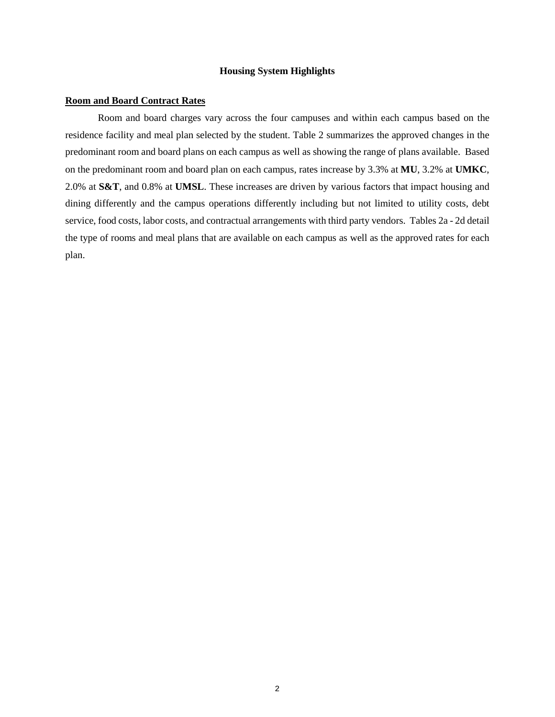#### **Housing System Highlights**

#### **Room and Board Contract Rates**

Room and board charges vary across the four campuses and within each campus based on the residence facility and meal plan selected by the student. Table 2 summarizes the approved changes in the predominant room and board plans on each campus as well as showing the range of plans available. Based on the predominant room and board plan on each campus, rates increase by 3.3% at **MU**, 3.2% at **UMKC**, 2.0% at **S&T**, and 0.8% at **UMSL**. These increases are driven by various factors that impact housing and dining differently and the campus operations differently including but not limited to utility costs, debt service, food costs, labor costs, and contractual arrangements with third party vendors. Tables 2a - 2d detail the type of rooms and meal plans that are available on each campus as well as the approved rates for each plan.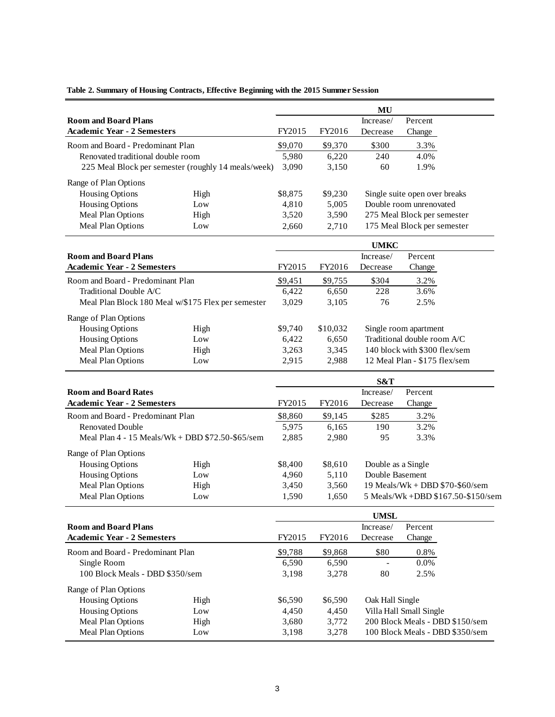|                                    |                                                     |         |          | MU                 |                                    |
|------------------------------------|-----------------------------------------------------|---------|----------|--------------------|------------------------------------|
| <b>Room and Board Plans</b>        |                                                     |         |          | Increase/          | Percent                            |
| <b>Academic Year - 2 Semesters</b> |                                                     | FY2015  | FY2016   | Decrease           | Change                             |
| Room and Board - Predominant Plan  |                                                     | \$9,070 | \$9,370  | \$300              | 3.3%                               |
| Renovated traditional double room  |                                                     | 5,980   | 6,220    | 240                | 4.0%                               |
|                                    | 225 Meal Block per semester (roughly 14 meals/week) | 3,090   | 3,150    | 60                 | 1.9%                               |
|                                    |                                                     |         |          |                    |                                    |
| Range of Plan Options              |                                                     |         |          |                    |                                    |
| <b>Housing Options</b>             | High                                                | \$8,875 | \$9,230  |                    | Single suite open over breaks      |
| <b>Housing Options</b>             | Low                                                 | 4,810   | 5,005    |                    | Double room unrenovated            |
| Meal Plan Options                  | High                                                | 3,520   | 3,590    |                    | 275 Meal Block per semester        |
| Meal Plan Options                  | Low                                                 | 2,660   | 2,710    |                    | 175 Meal Block per semester        |
|                                    |                                                     |         |          | <b>UMKC</b>        |                                    |
| <b>Room and Board Plans</b>        |                                                     |         |          | Increase/          | Percent                            |
| <b>Academic Year - 2 Semesters</b> |                                                     | FY2015  | FY2016   | Decrease           | Change                             |
| Room and Board - Predominant Plan  |                                                     | \$9,451 | \$9,755  | \$304              | 3.2%                               |
| Traditional Double A/C             |                                                     | 6,422   | 6,650    | 228                | 3.6%                               |
|                                    | Meal Plan Block 180 Meal w/\$175 Flex per semester  | 3,029   | 3,105    | 76                 | 2.5%                               |
| Range of Plan Options              |                                                     |         |          |                    |                                    |
| <b>Housing Options</b>             | High                                                | \$9,740 | \$10,032 |                    | Single room apartment              |
| <b>Housing Options</b>             | Low                                                 | 6,422   | 6,650    |                    | Traditional double room A/C        |
| Meal Plan Options                  | High                                                | 3,263   | 3,345    |                    | 140 block with \$300 flex/sem      |
| Meal Plan Options                  | Low                                                 | 2,915   | 2,988    |                    | 12 Meal Plan - \$175 flex/sem      |
|                                    |                                                     |         |          |                    |                                    |
| <b>Room and Board Rates</b>        |                                                     |         |          | S&T<br>Increase/   | Percent                            |
| <b>Academic Year - 2 Semesters</b> |                                                     | FY2015  | FY2016   | Decrease           | Change                             |
| Room and Board - Predominant Plan  |                                                     | \$8,860 | \$9,145  | \$285              | 3.2%                               |
| <b>Renovated Double</b>            |                                                     | 5,975   | 6,165    | 190                | 3.2%                               |
|                                    | Meal Plan 4 - 15 Meals/Wk + DBD \$72.50-\$65/sem    | 2,885   | 2,980    | 95                 | 3.3%                               |
|                                    |                                                     |         |          |                    |                                    |
| Range of Plan Options              |                                                     |         |          |                    |                                    |
| <b>Housing Options</b>             | High                                                | \$8,400 | \$8,610  | Double as a Single |                                    |
| <b>Housing Options</b>             | Low                                                 | 4,960   | 5,110    | Double Basement    |                                    |
| Meal Plan Options                  | High                                                | 3,450   | 3,560    |                    | 19 Meals/Wk + DBD \$70-\$60/sem    |
| Meal Plan Options                  | Low                                                 | 1,590   | 1,650    |                    | 5 Meals/Wk +DBD \$167.50-\$150/sem |
|                                    |                                                     |         |          | <b>UMSL</b>        |                                    |
| <b>Room and Board Plans</b>        |                                                     |         |          | Increase/          | Percent                            |
| <b>Academic Year - 2 Semesters</b> |                                                     | FY2015  | FY2016   | Decrease           | Change                             |
| Room and Board - Predominant Plan  |                                                     | \$9,788 | \$9,868  | \$80               | 0.8%                               |
| Single Room                        |                                                     | 6,590   | 6,590    |                    | 0.0%                               |
| 100 Block Meals - DBD \$350/sem    |                                                     | 3,198   | 3,278    | 80                 | 2.5%                               |
| Range of Plan Options              |                                                     |         |          |                    |                                    |
| <b>Housing Options</b>             | High                                                | \$6,590 | \$6,590  | Oak Hall Single    |                                    |
| <b>Housing Options</b>             | Low                                                 | 4,450   | 4,450    |                    | Villa Hall Small Single            |
| Meal Plan Options                  | High                                                | 3,680   | 3,772    |                    | 200 Block Meals - DBD \$150/sem    |
| Meal Plan Options                  | Low                                                 | 3,198   | 3,278    |                    | 100 Block Meals - DBD \$350/sem    |

### **Table 2. Summary of Housing Contracts, Effective Beginning with the 2015 Summer Session**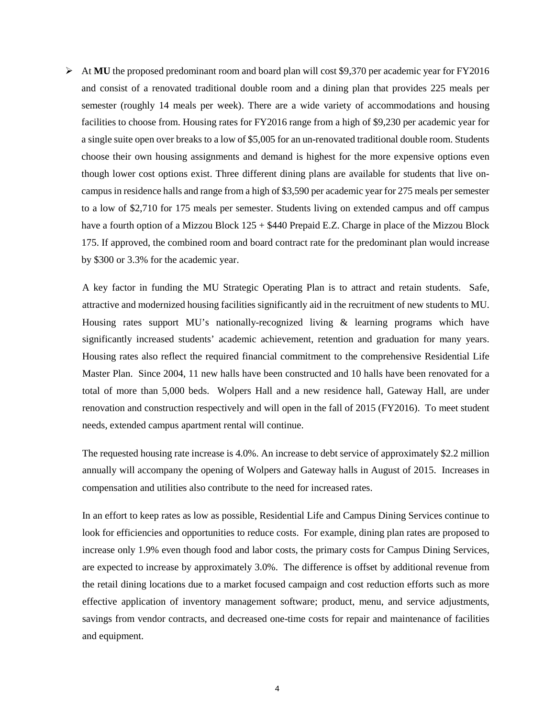$\triangleright$  At **MU** the proposed predominant room and board plan will cost \$9,370 per academic year for FY2016 and consist of a renovated traditional double room and a dining plan that provides 225 meals per semester (roughly 14 meals per week). There are a wide variety of accommodations and housing facilities to choose from. Housing rates for FY2016 range from a high of \$9,230 per academic year for a single suite open over breaks to a low of \$5,005 for an un-renovated traditional double room. Students choose their own housing assignments and demand is highest for the more expensive options even though lower cost options exist. Three different dining plans are available for students that live oncampus in residence halls and range from a high of \$3,590 per academic year for 275 meals per semester to a low of \$2,710 for 175 meals per semester. Students living on extended campus and off campus have a fourth option of a Mizzou Block 125 + \$440 Prepaid E.Z. Charge in place of the Mizzou Block 175. If approved, the combined room and board contract rate for the predominant plan would increase by \$300 or 3.3% for the academic year.

A key factor in funding the MU Strategic Operating Plan is to attract and retain students. Safe, attractive and modernized housing facilities significantly aid in the recruitment of new students to MU. Housing rates support MU's nationally-recognized living & learning programs which have significantly increased students' academic achievement, retention and graduation for many years. Housing rates also reflect the required financial commitment to the comprehensive Residential Life Master Plan. Since 2004, 11 new halls have been constructed and 10 halls have been renovated for a total of more than 5,000 beds. Wolpers Hall and a new residence hall, Gateway Hall, are under renovation and construction respectively and will open in the fall of 2015 (FY2016). To meet student needs, extended campus apartment rental will continue.

The requested housing rate increase is 4.0%. An increase to debt service of approximately \$2.2 million annually will accompany the opening of Wolpers and Gateway halls in August of 2015. Increases in compensation and utilities also contribute to the need for increased rates.

In an effort to keep rates as low as possible, Residential Life and Campus Dining Services continue to look for efficiencies and opportunities to reduce costs. For example, dining plan rates are proposed to increase only 1.9% even though food and labor costs, the primary costs for Campus Dining Services, are expected to increase by approximately 3.0%. The difference is offset by additional revenue from the retail dining locations due to a market focused campaign and cost reduction efforts such as more effective application of inventory management software; product, menu, and service adjustments, savings from vendor contracts, and decreased one-time costs for repair and maintenance of facilities and equipment.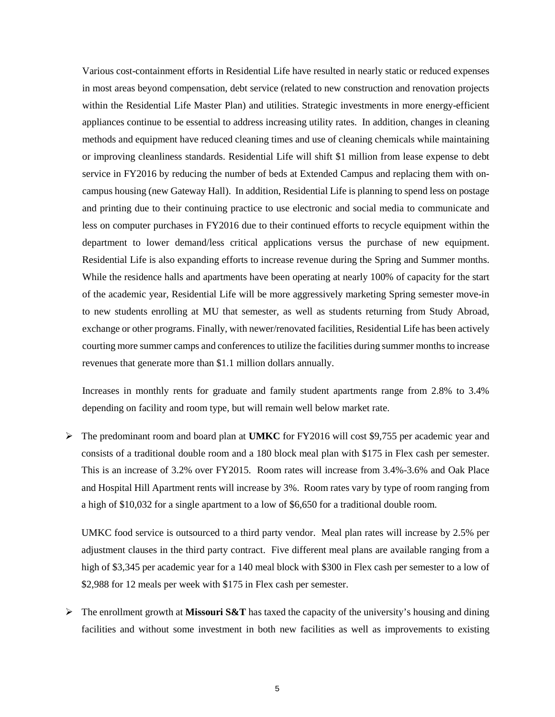Various cost-containment efforts in Residential Life have resulted in nearly static or reduced expenses in most areas beyond compensation, debt service (related to new construction and renovation projects within the Residential Life Master Plan) and utilities. Strategic investments in more energy-efficient appliances continue to be essential to address increasing utility rates. In addition, changes in cleaning methods and equipment have reduced cleaning times and use of cleaning chemicals while maintaining or improving cleanliness standards. Residential Life will shift \$1 million from lease expense to debt service in FY2016 by reducing the number of beds at Extended Campus and replacing them with oncampus housing (new Gateway Hall). In addition, Residential Life is planning to spend less on postage and printing due to their continuing practice to use electronic and social media to communicate and less on computer purchases in FY2016 due to their continued efforts to recycle equipment within the department to lower demand/less critical applications versus the purchase of new equipment. Residential Life is also expanding efforts to increase revenue during the Spring and Summer months. While the residence halls and apartments have been operating at nearly 100% of capacity for the start of the academic year, Residential Life will be more aggressively marketing Spring semester move-in to new students enrolling at MU that semester, as well as students returning from Study Abroad, exchange or other programs. Finally, with newer/renovated facilities, Residential Life has been actively courting more summer camps and conferences to utilize the facilities during summer months to increase revenues that generate more than \$1.1 million dollars annually.

Increases in monthly rents for graduate and family student apartments range from 2.8% to 3.4% depending on facility and room type, but will remain well below market rate.

 The predominant room and board plan at **UMKC** for FY2016 will cost \$9,755 per academic year and consists of a traditional double room and a 180 block meal plan with \$175 in Flex cash per semester. This is an increase of 3.2% over FY2015. Room rates will increase from 3.4%-3.6% and Oak Place and Hospital Hill Apartment rents will increase by 3%. Room rates vary by type of room ranging from a high of \$10,032 for a single apartment to a low of \$6,650 for a traditional double room.

UMKC food service is outsourced to a third party vendor. Meal plan rates will increase by 2.5% per adjustment clauses in the third party contract. Five different meal plans are available ranging from a high of \$3,345 per academic year for a 140 meal block with \$300 in Flex cash per semester to a low of \$2,988 for 12 meals per week with \$175 in Flex cash per semester.

 $\triangleright$  The enrollment growth at **Missouri S&T** has taxed the capacity of the university's housing and dining facilities and without some investment in both new facilities as well as improvements to existing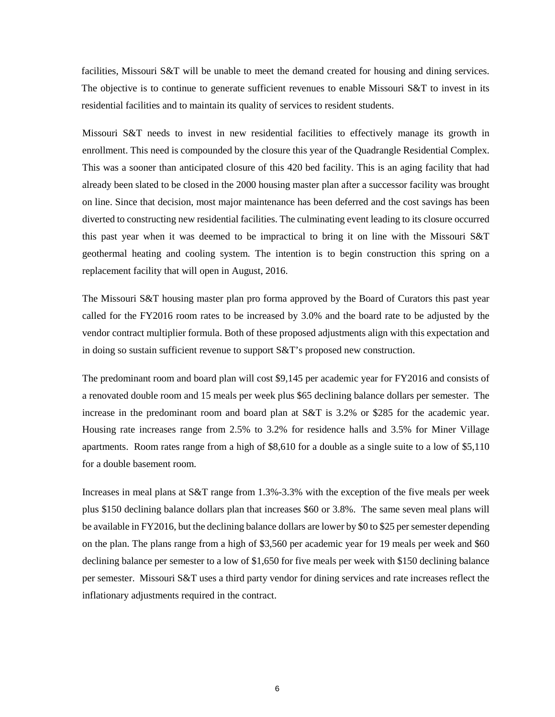facilities, Missouri S&T will be unable to meet the demand created for housing and dining services. The objective is to continue to generate sufficient revenues to enable Missouri  $S\&T$  to invest in its residential facilities and to maintain its quality of services to resident students.

Missouri S&T needs to invest in new residential facilities to effectively manage its growth in enrollment. This need is compounded by the closure this year of the Quadrangle Residential Complex. This was a sooner than anticipated closure of this 420 bed facility. This is an aging facility that had already been slated to be closed in the 2000 housing master plan after a successor facility was brought on line. Since that decision, most major maintenance has been deferred and the cost savings has been diverted to constructing new residential facilities. The culminating event leading to its closure occurred this past year when it was deemed to be impractical to bring it on line with the Missouri S&T geothermal heating and cooling system. The intention is to begin construction this spring on a replacement facility that will open in August, 2016.

The Missouri S&T housing master plan pro forma approved by the Board of Curators this past year called for the FY2016 room rates to be increased by 3.0% and the board rate to be adjusted by the vendor contract multiplier formula. Both of these proposed adjustments align with this expectation and in doing so sustain sufficient revenue to support S&T's proposed new construction.

The predominant room and board plan will cost \$9,145 per academic year for FY2016 and consists of a renovated double room and 15 meals per week plus \$65 declining balance dollars per semester. The increase in the predominant room and board plan at S&T is 3.2% or \$285 for the academic year. Housing rate increases range from 2.5% to 3.2% for residence halls and 3.5% for Miner Village apartments. Room rates range from a high of \$8,610 for a double as a single suite to a low of \$5,110 for a double basement room.

Increases in meal plans at S&T range from 1.3%-3.3% with the exception of the five meals per week plus \$150 declining balance dollars plan that increases \$60 or 3.8%. The same seven meal plans will be available in FY2016, but the declining balance dollars are lower by \$0 to \$25 per semester depending on the plan. The plans range from a high of \$3,560 per academic year for 19 meals per week and \$60 declining balance per semester to a low of \$1,650 for five meals per week with \$150 declining balance per semester. Missouri S&T uses a third party vendor for dining services and rate increases reflect the inflationary adjustments required in the contract.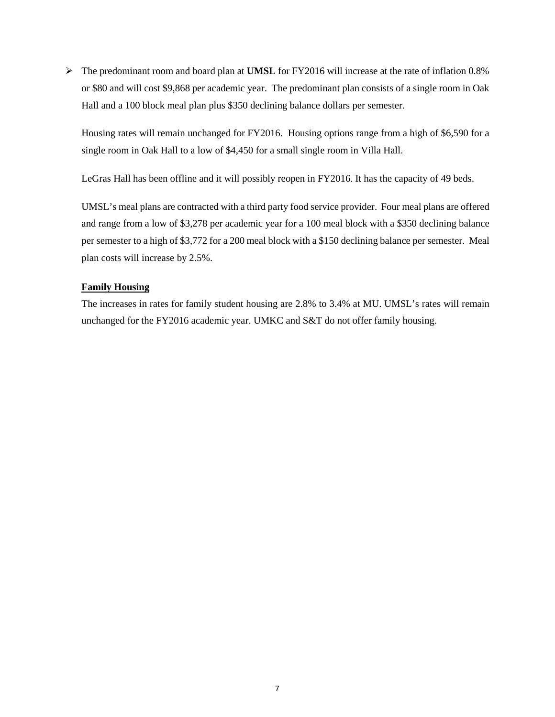The predominant room and board plan at **UMSL** for FY2016 will increase at the rate of inflation 0.8% or \$80 and will cost \$9,868 per academic year. The predominant plan consists of a single room in Oak Hall and a 100 block meal plan plus \$350 declining balance dollars per semester.

Housing rates will remain unchanged for FY2016. Housing options range from a high of \$6,590 for a single room in Oak Hall to a low of \$4,450 for a small single room in Villa Hall.

LeGras Hall has been offline and it will possibly reopen in FY2016. It has the capacity of 49 beds.

UMSL's meal plans are contracted with a third party food service provider. Four meal plans are offered and range from a low of \$3,278 per academic year for a 100 meal block with a \$350 declining balance per semester to a high of \$3,772 for a 200 meal block with a \$150 declining balance per semester. Meal plan costs will increase by 2.5%.

### **Family Housing**

The increases in rates for family student housing are 2.8% to 3.4% at MU. UMSL's rates will remain unchanged for the FY2016 academic year. UMKC and S&T do not offer family housing.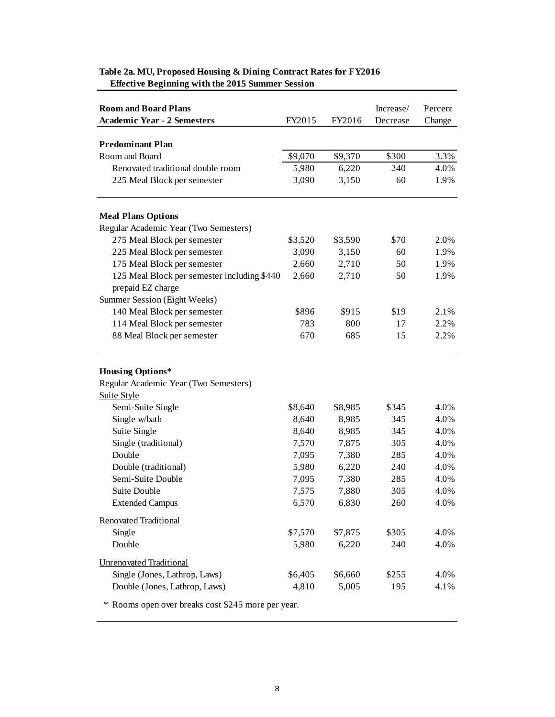| <b>Room and Board Plans</b><br><b>Academic Year - 2 Semesters</b>               | FY2015  | FY2016  | Increase/<br>Decrease | Percent<br>Change |
|---------------------------------------------------------------------------------|---------|---------|-----------------------|-------------------|
|                                                                                 |         |         |                       |                   |
| <b>Predominant Plan</b>                                                         |         |         |                       |                   |
| Room and Board                                                                  | \$9,070 | \$9,370 | \$300                 | 3.3%              |
| Renovated traditional double room                                               | 5,980   | 6,220   | 240                   | 4.0%              |
| 225 Meal Block per semester                                                     | 3,090   | 3,150   | 60                    | 1.9%              |
| <b>Meal Plans Options</b>                                                       |         |         |                       |                   |
| Regular Academic Year (Two Semesters)                                           |         |         |                       |                   |
| 275 Meal Block per semester                                                     | \$3,520 | \$3,590 | \$70                  | 2.0%              |
| 225 Meal Block per semester                                                     | 3,090   | 3,150   | 60                    | 1.9%              |
| 175 Meal Block per semester                                                     | 2,660   | 2,710   | 50                    | 1.9%              |
| 125 Meal Block per semester including \$440                                     | 2,660   | 2,710   | 50                    | 1.9%              |
| prepaid EZ charge                                                               |         |         |                       |                   |
| Summer Session (Eight Weeks)                                                    |         |         |                       |                   |
| 140 Meal Block per semester                                                     | \$896   | \$915   | \$19                  | 2.1%              |
| 114 Meal Block per semester                                                     | 783     | 800     | 17                    | 2.2%              |
| 88 Meal Block per semester                                                      | 670     | 685     | 15                    | 2.2%              |
| <b>Housing Options*</b><br>Regular Academic Year (Two Semesters)<br>Suite Style |         |         |                       |                   |
| Semi-Suite Single                                                               | \$8,640 | \$8,985 | \$345                 | 4.0%              |
| Single w/bath                                                                   | 8,640   | 8,985   | 345                   | 4.0%              |
| Suite Single                                                                    | 8,640   | 8,985   | 345                   | 4.0%              |
| Single (traditional)                                                            | 7,570   | 7,875   | 305                   | 4.0%              |
| Double                                                                          | 7,095   | 7,380   | 285                   | 4.0%              |
| Double (traditional)                                                            | 5,980   | 6,220   | 240                   | 4.0%              |
| Semi-Suite Double                                                               | 7,095   | 7,380   | 285                   | 4.0%              |
| Suite Double                                                                    | 7,575   | 7,880   | 305                   | 4.0%              |
| <b>Extended Campus</b>                                                          | 6,570   | 6,830   | 260                   | 4.0%              |
| <b>Renovated Traditional</b>                                                    |         |         |                       |                   |
| Single                                                                          | \$7,570 | \$7,875 | \$305                 | 4.0%              |
| Double                                                                          | 5,980   | 6,220   | 240                   | 4.0%              |
| <b>Unrenovated Traditional</b>                                                  |         |         |                       |                   |
| Single (Jones, Lathrop, Laws)                                                   | \$6,405 | \$6,660 | \$255                 | 4.0%              |
| Double (Jones, Lathrop, Laws)                                                   | 4,810   | 5,005   | 195                   | 4.1%              |
|                                                                                 |         |         |                       |                   |

### **Table 2a. MU, Proposed Housing & Dining Contract Rates for FY2016 Effective Beginning with the 2015 Summer Session**

\* Rooms open over breaks cost \$245 more per year.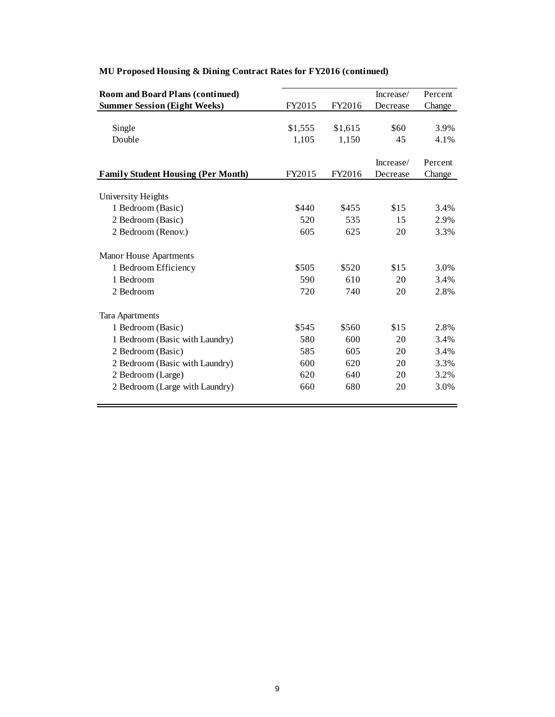| <b>Room and Board Plans (continued)</b>   |         |         | Increase/ | Percent |
|-------------------------------------------|---------|---------|-----------|---------|
| <b>Summer Session (Eight Weeks)</b>       | FY2015  | FY2016  | Decrease  | Change  |
|                                           |         |         |           |         |
| Single                                    | \$1,555 | \$1,615 | \$60      | 3.9%    |
| Double                                    | 1,105   | 1,150   | 45        | 4.1%    |
|                                           |         |         |           |         |
|                                           |         |         | Increase/ | Percent |
| <b>Family Student Housing (Per Month)</b> | FY2015  | FY2016  | Decrease  | Change  |
| University Heights                        |         |         |           |         |
| 1 Bedroom (Basic)                         | \$440   | \$455   | \$15      | 3.4%    |
| 2 Bedroom (Basic)                         | 520     | 535     | 15        | 2.9%    |
|                                           | 605     |         |           |         |
| 2 Bedroom (Renov.)                        |         | 625     | 20        | 3.3%    |
| <b>Manor House Apartments</b>             |         |         |           |         |
| 1 Bedroom Efficiency                      | \$505   | \$520   | \$15      | 3.0%    |
| 1 Bedroom                                 | 590     | 610     | 20        | 3.4%    |
| 2 Bedroom                                 | 720     | 740     | 20        | 2.8%    |
|                                           |         |         |           |         |
| <b>Tara Apartments</b>                    |         |         |           |         |
| 1 Bedroom (Basic)                         | \$545   | \$560   | \$15      | 2.8%    |
| 1 Bedroom (Basic with Laundry)            | 580     | 600     | 20        | 3.4%    |
| 2 Bedroom (Basic)                         | 585     | 605     | 20        | 3.4%    |
| 2 Bedroom (Basic with Laundry)            | 600     | 620     | 20        | 3.3%    |
| 2 Bedroom (Large)                         | 620     | 640     | 20        | 3.2%    |
| 2 Bedroom (Large with Laundry)            | 660     | 680     | 20        | 3.0%    |
|                                           |         |         |           |         |

# **MU Proposed Housing & Dining Contract Rates for FY2016 (continued)**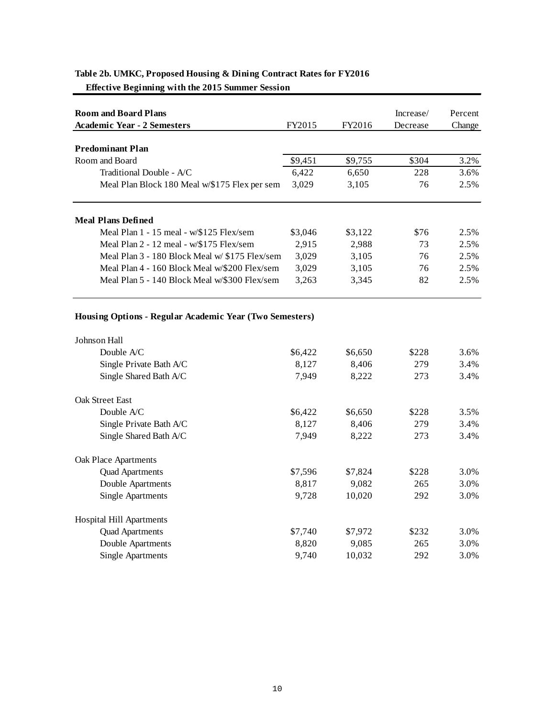| <b>Room and Board Plans</b>                             |         |         | Increase/ | Percent |
|---------------------------------------------------------|---------|---------|-----------|---------|
| <b>Academic Year - 2 Semesters</b>                      | FY2015  | FY2016  | Decrease  | Change  |
|                                                         |         |         |           |         |
| <b>Predominant Plan</b>                                 |         |         |           |         |
| Room and Board                                          | \$9,451 | \$9,755 | \$304     | 3.2%    |
| Traditional Double - A/C                                | 6,422   | 6,650   | 228       | 3.6%    |
| Meal Plan Block 180 Meal w/\$175 Flex per sem           | 3,029   | 3,105   | 76        | 2.5%    |
| <b>Meal Plans Defined</b>                               |         |         |           |         |
| Meal Plan 1 - 15 meal - w/\$125 Flex/sem                | \$3,046 | \$3,122 | \$76      | 2.5%    |
| Meal Plan 2 - 12 meal - w/\$175 Flex/sem                | 2,915   | 2,988   | 73        | 2.5%    |
| Meal Plan 3 - 180 Block Meal w/ \$175 Flex/sem          | 3,029   | 3,105   | 76        | 2.5%    |
| Meal Plan 4 - 160 Block Meal w/\$200 Flex/sem           | 3,029   | 3,105   | 76        | 2.5%    |
| Meal Plan 5 - 140 Block Meal w/\$300 Flex/sem           | 3,263   | 3,345   | 82        | 2.5%    |
| Housing Options - Regular Academic Year (Two Semesters) |         |         |           |         |
| Johnson Hall                                            |         |         |           |         |
| Double A/C                                              | \$6,422 | \$6,650 | \$228     | 3.6%    |
| Single Private Bath A/C                                 | 8,127   | 8,406   | 279       | 3.4%    |
| Single Shared Bath A/C                                  | 7,949   | 8,222   | 273       | 3.4%    |
| <b>Oak Street East</b>                                  |         |         |           |         |
| Double A/C                                              | \$6,422 | \$6,650 | \$228     | 3.5%    |
| Single Private Bath A/C                                 | 8,127   | 8,406   | 279       | 3.4%    |
| Single Shared Bath A/C                                  | 7,949   | 8,222   | 273       | 3.4%    |
| Oak Place Apartments                                    |         |         |           |         |
| <b>Quad Apartments</b>                                  | \$7,596 | \$7,824 | \$228     | 3.0%    |
| Double Apartments                                       | 8,817   | 9,082   | 265       | 3.0%    |
| <b>Single Apartments</b>                                | 9,728   | 10,020  | 292       | 3.0%    |
| Hospital Hill Apartments                                |         |         |           |         |
| <b>Quad Apartments</b>                                  | \$7,740 | \$7,972 | \$232     | 3.0%    |
| Double Apartments                                       | 8,820   | 9,085   | 265       | 3.0%    |
| <b>Single Apartments</b>                                | 9,740   | 10,032  | 292       | 3.0%    |

## **Table 2b. UMKC, Proposed Housing & Dining Contract Rates for FY2016**

 **Effective Beginning with the 2015 Summer Session**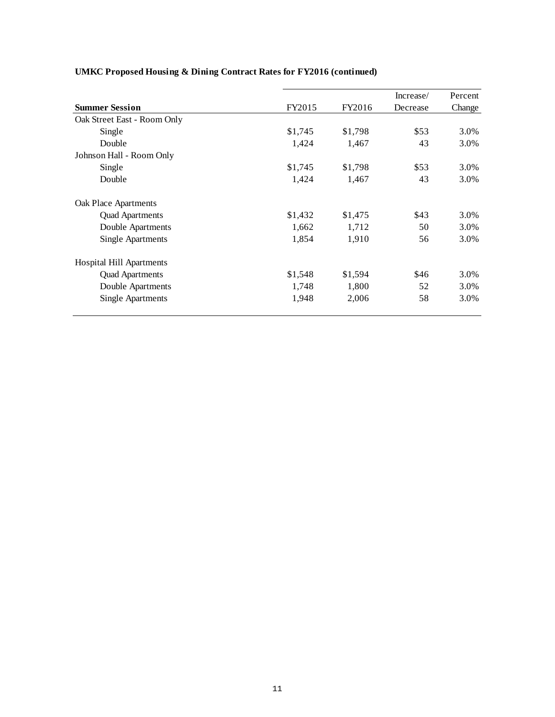|                             |         |         | Increase/ | Percent |
|-----------------------------|---------|---------|-----------|---------|
| <b>Summer Session</b>       | FY2015  | FY2016  | Decrease  | Change  |
| Oak Street East - Room Only |         |         |           |         |
| Single                      | \$1,745 | \$1,798 | \$53      | 3.0%    |
| Double                      | 1,424   | 1,467   | 43        | 3.0%    |
| Johnson Hall - Room Only    |         |         |           |         |
| Single                      | \$1,745 | \$1,798 | \$53      | 3.0%    |
| Double                      | 1,424   | 1,467   | 43        | 3.0%    |
| <b>Oak Place Apartments</b> |         |         |           |         |
| <b>Quad Apartments</b>      | \$1,432 | \$1,475 | \$43      | 3.0%    |
| Double Apartments           | 1,662   | 1,712   | 50        | 3.0%    |
| <b>Single Apartments</b>    | 1,854   | 1,910   | 56        | 3.0%    |
| Hospital Hill Apartments    |         |         |           |         |
| <b>Quad Apartments</b>      | \$1,548 | \$1,594 | \$46      | 3.0%    |
| Double Apartments           | 1,748   | 1,800   | 52        | 3.0%    |
| <b>Single Apartments</b>    | 1,948   | 2,006   | 58        | 3.0%    |

# **UMKC Proposed Housing & Dining Contract Rates for FY2016 (continued)**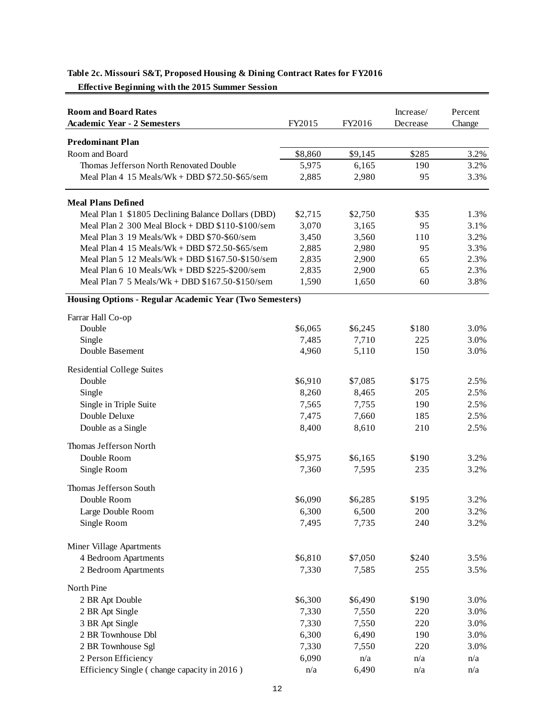| <b>Room and Board Rates</b><br><b>Academic Year - 2 Semesters</b> | FY2015  | FY2016  | Increase/<br>Decrease | Percent<br>Change |
|-------------------------------------------------------------------|---------|---------|-----------------------|-------------------|
| <b>Predominant Plan</b>                                           |         |         |                       |                   |
| Room and Board                                                    | \$8,860 | \$9,145 | \$285                 | 3.2%              |
| Thomas Jefferson North Renovated Double                           | 5,975   | 6,165   | 190                   | 3.2%              |
| Meal Plan $4$ 15 Meals/Wk + DBD $$72.50-\$65/\$ sem               | 2,885   | 2,980   | 95                    | 3.3%              |
| <b>Meal Plans Defined</b>                                         |         |         |                       |                   |
| Meal Plan 1 \$1805 Declining Balance Dollars (DBD)                | \$2,715 | \$2,750 | \$35                  | 1.3%              |
| Meal Plan 2 300 Meal Block + DBD \$110-\$100/sem                  | 3,070   | 3,165   | 95                    | 3.1%              |
| Meal Plan $3$ 19 Meals/Wk + DBD $$70-\$60$ /sem                   | 3,450   | 3,560   | 110                   | 3.2%              |
| Meal Plan $4$ 15 Meals/Wk + DBD $$72.50-\$65/\$$ em               | 2,885   | 2,980   | 95                    | 3.3%              |
| Meal Plan 5 12 Meals/Wk + DBD \$167.50-\$150/sem                  | 2,835   | 2,900   | 65                    | 2.3%              |
| Meal Plan 6 10 Meals/Wk + DBD \$225-\$200/sem                     | 2,835   | 2,900   | 65                    | 2.3%              |
| Meal Plan 7 5 Meals/Wk + DBD \$167.50-\$150/sem                   | 1,590   | 1,650   | 60                    | 3.8%              |
| Housing Options - Regular Academic Year (Two Semesters)           |         |         |                       |                   |
| Farrar Hall Co-op                                                 |         |         |                       |                   |
| Double                                                            | \$6,065 | \$6,245 | \$180                 | 3.0%              |
| Single                                                            | 7,485   | 7,710   | 225                   | 3.0%              |
| Double Basement                                                   | 4,960   | 5,110   | 150                   | 3.0%              |
| <b>Residential College Suites</b>                                 |         |         |                       |                   |
| Double                                                            | \$6,910 | \$7,085 | \$175                 | 2.5%              |
| Single                                                            | 8,260   | 8,465   | 205                   | 2.5%              |
| Single in Triple Suite                                            | 7,565   | 7,755   | 190                   | 2.5%              |
| Double Deluxe                                                     | 7,475   | 7,660   | 185                   | 2.5%              |
| Double as a Single                                                | 8,400   | 8,610   | 210                   | 2.5%              |
| Thomas Jefferson North                                            |         |         |                       |                   |
| Double Room                                                       | \$5,975 | \$6,165 | \$190                 | 3.2%              |
| Single Room                                                       | 7,360   | 7,595   | 235                   | 3.2%              |
| Thomas Jefferson South                                            |         |         |                       |                   |
| Double Room                                                       | \$6,090 | \$6,285 | \$195                 | 3.2%              |
| Large Double Room                                                 | 6,300   | 6,500   | 200                   | 3.2%              |
| Single Room                                                       | 7,495   | 7,735   | 240                   | 3.2%              |
| Miner Village Apartments                                          |         |         |                       |                   |
| 4 Bedroom Apartments                                              | \$6,810 | \$7,050 | \$240                 | 3.5%              |
| 2 Bedroom Apartments                                              | 7,330   | 7,585   | 255                   | 3.5%              |
| North Pine                                                        |         |         |                       |                   |
| 2 BR Apt Double                                                   | \$6,300 | \$6,490 | \$190                 | 3.0%              |
| 2 BR Apt Single                                                   | 7,330   | 7,550   | 220                   | 3.0%              |
| 3 BR Apt Single                                                   | 7,330   | 7,550   | 220                   | 3.0%              |
| 2 BR Townhouse Dbl                                                | 6,300   | 6,490   | 190                   | 3.0%              |
| 2 BR Townhouse Sgl                                                | 7,330   | 7,550   | 220                   | 3.0%              |
| 2 Person Efficiency                                               | 6,090   | n/a     | n/a                   | n/a               |
| Efficiency Single (change capacity in 2016)                       | n/a     | 6,490   | n/a                   | n/a               |

### **Table 2c. Missouri S&T, Proposed Housing & Dining Contract Rates for FY2016**

 **Effective Beginning with the 2015 Summer Session**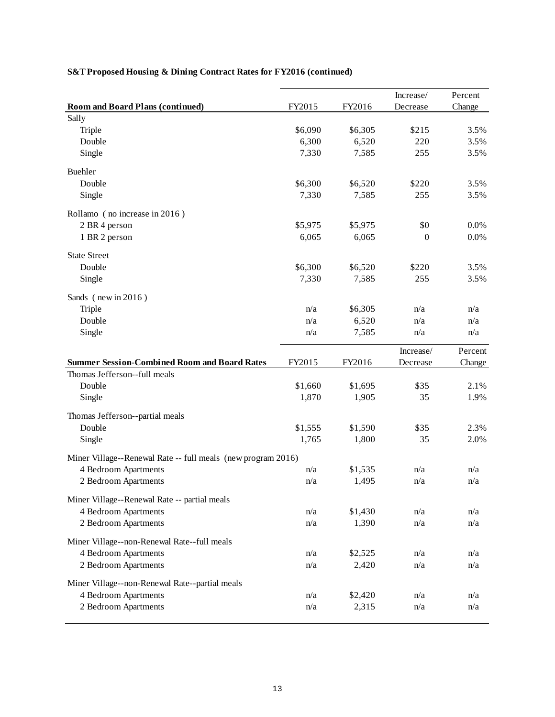|                                                              |         |         | Increase/ | Percent |
|--------------------------------------------------------------|---------|---------|-----------|---------|
| <b>Room and Board Plans (continued)</b>                      | FY2015  | FY2016  | Decrease  | Change  |
| Sally                                                        |         |         |           |         |
| Triple                                                       | \$6,090 | \$6,305 | \$215     | 3.5%    |
| Double                                                       | 6,300   | 6,520   | 220       | 3.5%    |
| Single                                                       | 7,330   | 7,585   | 255       | 3.5%    |
| Buehler                                                      |         |         |           |         |
| Double                                                       | \$6,300 | \$6,520 | \$220     | 3.5%    |
| Single                                                       | 7,330   | 7,585   | 255       | 3.5%    |
| Rollamo (no increase in 2016)                                |         |         |           |         |
| 2 BR 4 person                                                | \$5,975 | \$5,975 | \$0       | 0.0%    |
| 1 BR 2 person                                                | 6,065   | 6,065   | $\theta$  | 0.0%    |
| <b>State Street</b>                                          |         |         |           |         |
| Double                                                       | \$6,300 | \$6,520 | \$220     | 3.5%    |
| Single                                                       | 7,330   | 7,585   | 255       | 3.5%    |
| Sands (new in 2016)                                          |         |         |           |         |
| Triple                                                       | n/a     | \$6,305 | n/a       | n/a     |
| Double                                                       | n/a     | 6,520   | n/a       | n/a     |
| Single                                                       | n/a     | 7,585   | n/a       | n/a     |
|                                                              |         |         | Increase/ | Percent |
| <b>Summer Session-Combined Room and Board Rates</b>          | FY2015  | FY2016  | Decrease  | Change  |
| Thomas Jefferson--full meals                                 |         |         |           |         |
| Double                                                       | \$1,660 | \$1,695 | \$35      | 2.1%    |
| Single                                                       | 1,870   | 1,905   | 35        | 1.9%    |
| Thomas Jefferson--partial meals                              |         |         |           |         |
| Double                                                       | \$1,555 | \$1,590 | \$35      | 2.3%    |
| Single                                                       | 1,765   | 1,800   | 35        | 2.0%    |
| Miner Village--Renewal Rate -- full meals (new program 2016) |         |         |           |         |
| 4 Bedroom Apartments                                         | n/a     | \$1,535 | n/a       | n/a     |
| 2 Bedroom Apartments                                         | n/a     | 1,495   | n/a       | n/a     |
| Miner Village--Renewal Rate -- partial meals                 |         |         |           |         |
| 4 Bedroom Apartments                                         | n/a     | \$1,430 | n/a       | n/a     |
| 2 Bedroom Apartments                                         | n/a     | 1,390   | n/a       | n/a     |
| Miner Village--non-Renewal Rate--full meals                  |         |         |           |         |
| 4 Bedroom Apartments                                         | n/a     | \$2,525 | n/a       | n/a     |
| 2 Bedroom Apartments                                         | n/a     | 2,420   | n/a       | n/a     |
| Miner Village--non-Renewal Rate--partial meals               |         |         |           |         |
| 4 Bedroom Apartments                                         | n/a     | \$2,420 | n/a       | n/a     |
| 2 Bedroom Apartments                                         | n/a     | 2,315   | n/a       | n/a     |

## **S&T Proposed Housing & Dining Contract Rates for FY2016 (continued)**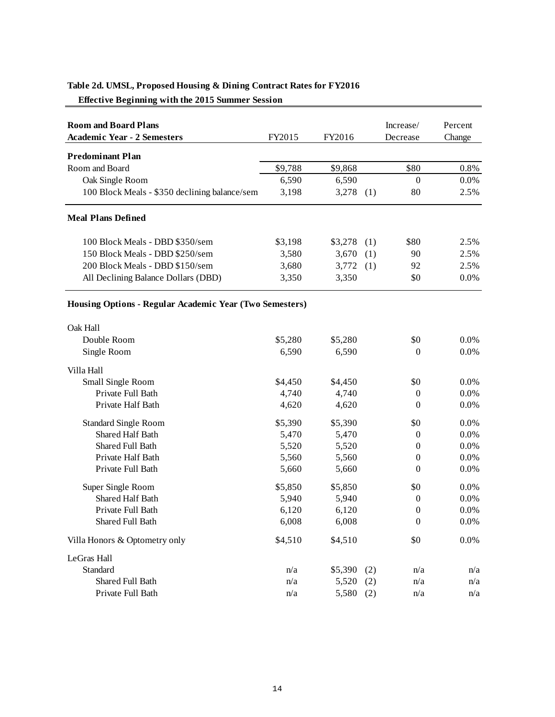| <b>Room and Board Plans</b>                             |         |             |     | Increase/        | Percent |
|---------------------------------------------------------|---------|-------------|-----|------------------|---------|
| <b>Academic Year - 2 Semesters</b>                      | FY2015  | FY2016      |     | Decrease         | Change  |
| <b>Predominant Plan</b>                                 |         |             |     |                  |         |
| Room and Board                                          | \$9,788 | \$9,868     |     | \$80             | 0.8%    |
| Oak Single Room                                         | 6,590   | 6,590       |     | $\mathbf{0}$     | $0.0\%$ |
| 100 Block Meals - \$350 declining balance/sem           | 3,198   | 3,278       | (1) | 80               | 2.5%    |
| <b>Meal Plans Defined</b>                               |         |             |     |                  |         |
| 100 Block Meals - DBD \$350/sem                         | \$3,198 | \$3,278     | (1) | \$80             | 2.5%    |
| 150 Block Meals - DBD \$250/sem                         | 3,580   | 3,670       | (1) | 90               | 2.5%    |
| 200 Block Meals - DBD \$150/sem                         | 3,680   | 3,772       | (1) | 92               | 2.5%    |
| All Declining Balance Dollars (DBD)                     | 3,350   | 3,350       |     | \$0              | 0.0%    |
| Housing Options - Regular Academic Year (Two Semesters) |         |             |     |                  |         |
| Oak Hall                                                |         |             |     |                  |         |
| Double Room                                             | \$5,280 | \$5,280     |     | \$0              | 0.0%    |
| Single Room                                             | 6,590   | 6,590       |     | $\mathbf{0}$     | 0.0%    |
| Villa Hall                                              |         |             |     |                  |         |
| Small Single Room                                       | \$4,450 | \$4,450     |     | \$0              | 0.0%    |
| Private Full Bath                                       | 4,740   | 4,740       |     | $\boldsymbol{0}$ | 0.0%    |
| Private Half Bath                                       | 4,620   | 4,620       |     | $\overline{0}$   | 0.0%    |
| <b>Standard Single Room</b>                             | \$5,390 | \$5,390     |     | \$0              | 0.0%    |
| <b>Shared Half Bath</b>                                 | 5,470   | 5,470       |     | $\mathbf{0}$     | 0.0%    |
| Shared Full Bath                                        | 5,520   | 5,520       |     | $\boldsymbol{0}$ | 0.0%    |
| Private Half Bath                                       | 5,560   | 5,560       |     | $\boldsymbol{0}$ | 0.0%    |
| Private Full Bath                                       | 5,660   | 5,660       |     | $\boldsymbol{0}$ | 0.0%    |
| Super Single Room                                       | \$5,850 | \$5,850     |     | \$0              | 0.0%    |
| <b>Shared Half Bath</b>                                 | 5,940   | 5,940       |     | $\boldsymbol{0}$ | 0.0%    |
| Private Full Bath                                       | 6.120   | 6,120       |     | $\theta$         | 0.0%    |
| Shared Full Bath                                        | 6,008   | 6,008       |     | $\boldsymbol{0}$ | $0.0\%$ |
| Villa Honors & Optometry only                           | \$4,510 | \$4,510     |     | \$0              | 0.0%    |
| LeGras Hall                                             |         |             |     |                  |         |
| Standard                                                | n/a     | \$5,390     | (2) | n/a              | n/a     |
| Shared Full Bath                                        | n/a     | 5,520       | (2) | n/a              | n/a     |
| Private Full Bath                                       | n/a     | $5,580$ (2) |     | n/a              | n/a     |

## **Table 2d. UMSL, Proposed Housing & Dining Contract Rates for FY2016**

 **Effective Beginning with the 2015 Summer Session**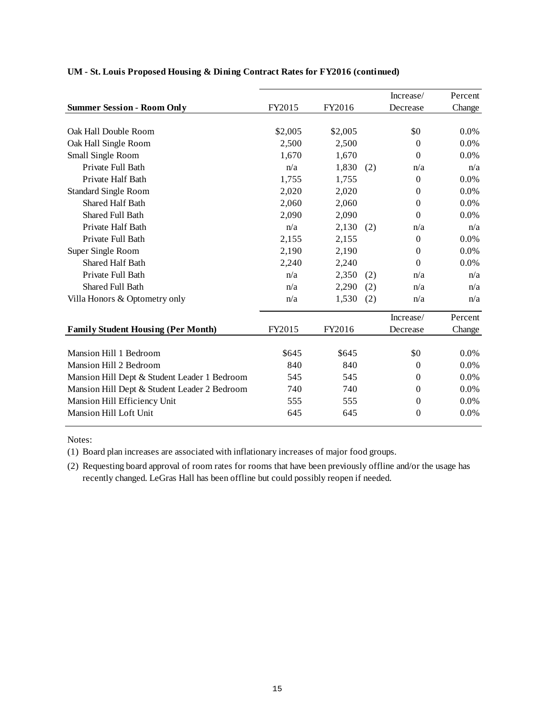|                                              |         |         |     | Increase/        | Percent |
|----------------------------------------------|---------|---------|-----|------------------|---------|
| <b>Summer Session - Room Only</b>            | FY2015  | FY2016  |     | Decrease         | Change  |
|                                              |         |         |     |                  |         |
| Oak Hall Double Room                         | \$2,005 | \$2,005 |     | \$0              | 0.0%    |
| Oak Hall Single Room                         | 2,500   | 2,500   |     | $\Omega$         | 0.0%    |
| Small Single Room                            | 1,670   | 1,670   |     | $\Omega$         | 0.0%    |
| Private Full Bath                            | n/a     | 1,830   | (2) | n/a              | n/a     |
| Private Half Bath                            | 1,755   | 1,755   |     | $\mathbf{0}$     | 0.0%    |
| <b>Standard Single Room</b>                  | 2,020   | 2,020   |     | $\mathbf{0}$     | 0.0%    |
| <b>Shared Half Bath</b>                      | 2,060   | 2,060   |     | $\boldsymbol{0}$ | 0.0%    |
| <b>Shared Full Bath</b>                      | 2,090   | 2,090   |     | $\theta$         | 0.0%    |
| Private Half Bath                            | n/a     | 2,130   | (2) | n/a              | n/a     |
| Private Full Bath                            | 2,155   | 2,155   |     | $\boldsymbol{0}$ | 0.0%    |
| Super Single Room                            | 2,190   | 2,190   |     | $\mathbf{0}$     | 0.0%    |
| <b>Shared Half Bath</b>                      | 2,240   | 2,240   |     | $\Omega$         | 0.0%    |
| Private Full Bath                            | n/a     | 2,350   | (2) | n/a              | n/a     |
| Shared Full Bath                             | n/a     | 2,290   | (2) | n/a              | n/a     |
| Villa Honors & Optometry only                | n/a     | 1,530   | (2) | n/a              | n/a     |
|                                              |         |         |     | Increase/        | Percent |
| <b>Family Student Housing (Per Month)</b>    | FY2015  | FY2016  |     | Decrease         | Change  |
| Mansion Hill 1 Bedroom                       | \$645   | \$645   |     | \$0              | 0.0%    |
| Mansion Hill 2 Bedroom                       | 840     | 840     |     | $\Omega$         | 0.0%    |
| Mansion Hill Dept & Student Leader 1 Bedroom | 545     | 545     |     | $\Omega$         | 0.0%    |
| Mansion Hill Dept & Student Leader 2 Bedroom | 740     | 740     |     | $\Omega$         | 0.0%    |
| Mansion Hill Efficiency Unit                 | 555     | 555     |     | $\overline{0}$   | 0.0%    |
| Mansion Hill Loft Unit                       | 645     | 645     |     | $\theta$         | 0.0%    |
|                                              |         |         |     |                  |         |

### **UM - St. Louis Proposed Housing & Dining Contract Rates for FY2016 (continued)**

Notes:

(1) Board plan increases are associated with inflationary increases of major food groups.

(2) Requesting board approval of room rates for rooms that have been previously offline and/or the usage has recently changed. LeGras Hall has been offline but could possibly reopen if needed.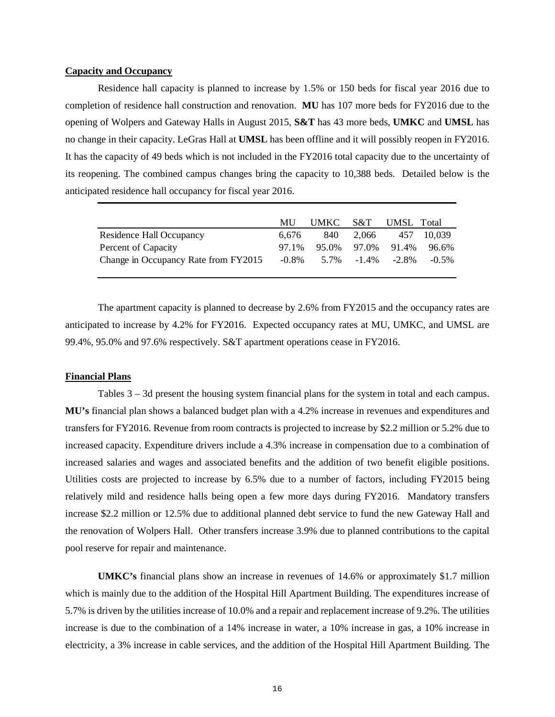#### **Capacity and Occupancy**

Residence hall capacity is planned to increase by 1.5% or 150 beds for fiscal year 2016 due to completion of residence hall construction and renovation. **MU** has 107 more beds for FY2016 due to the opening of Wolpers and Gateway Halls in August 2015, **S&T** has 43 more beds, **UMKC** and **UMSL** has no change in their capacity. LeGras Hall at **UMSL** has been offline and it will possibly reopen in FY2016. It has the capacity of 49 beds which is not included in the FY2016 total capacity due to the uncertainty of its reopening. The combined campus changes bring the capacity to 10,388 beds. Detailed below is the anticipated residence hall occupancy for fiscal year 2016.

|                                      | MU    | UMKC S&T |             | UMSL Total |          |
|--------------------------------------|-------|----------|-------------|------------|----------|
| Residence Hall Occupancy             | 6.676 | 840      | 2.066       | 457        | 10.039   |
| Percent of Capacity                  | 97.1% |          | 95.0% 97.0% | 91.4%      | 96.6%    |
| Change in Occupancy Rate from FY2015 | -0.8% |          | 5.7% -1.4%  | $-2.8\%$   | $-0.5\%$ |

The apartment capacity is planned to decrease by 2.6% from FY2015 and the occupancy rates are anticipated to increase by 4.2% for FY2016. Expected occupancy rates at MU, UMKC, and UMSL are 99.4%, 95.0% and 97.6% respectively. S&T apartment operations cease in FY2016.

#### **Financial Plans**

Tables 3 – 3d present the housing system financial plans for the system in total and each campus. **MU's** financial plan shows a balanced budget plan with a 4.2% increase in revenues and expenditures and transfers for FY2016. Revenue from room contracts is projected to increase by \$2.2 million or 5.2% due to increased capacity. Expenditure drivers include a 4.3% increase in compensation due to a combination of increased salaries and wages and associated benefits and the addition of two benefit eligible positions. Utilities costs are projected to increase by 6.5% due to a number of factors, including FY2015 being relatively mild and residence halls being open a few more days during FY2016. Mandatory transfers increase \$2.2 million or 12.5% due to additional planned debt service to fund the new Gateway Hall and the renovation of Wolpers Hall. Other transfers increase 3.9% due to planned contributions to the capital pool reserve for repair and maintenance.

**UMKC's** financial plans show an increase in revenues of 14.6% or approximately \$1.7 million which is mainly due to the addition of the Hospital Hill Apartment Building. The expenditures increase of 5.7% is driven by the utilities increase of 10.0% and a repair and replacement increase of 9.2%. The utilities increase is due to the combination of a 14% increase in water, a 10% increase in gas, a 10% increase in electricity, a 3% increase in cable services, and the addition of the Hospital Hill Apartment Building. The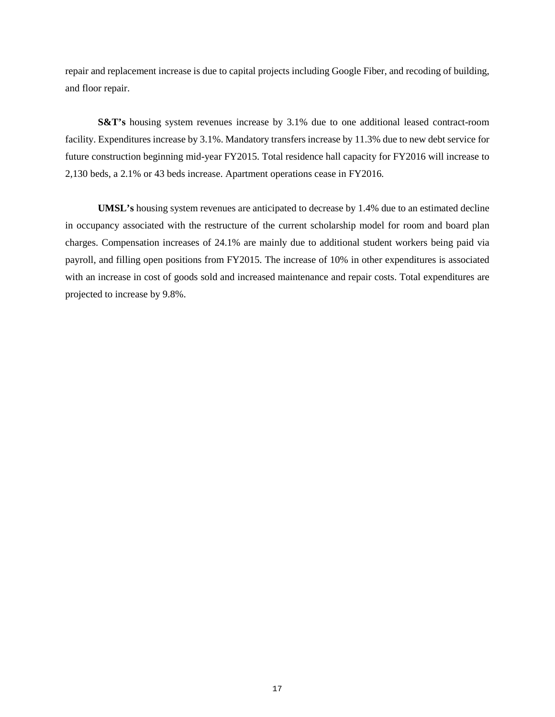repair and replacement increase is due to capital projects including Google Fiber, and recoding of building, and floor repair.

**S&T's** housing system revenues increase by 3.1% due to one additional leased contract-room facility. Expenditures increase by 3.1%. Mandatory transfers increase by 11.3% due to new debt service for future construction beginning mid-year FY2015. Total residence hall capacity for FY2016 will increase to 2,130 beds, a 2.1% or 43 beds increase. Apartment operations cease in FY2016.

**UMSL's** housing system revenues are anticipated to decrease by 1.4% due to an estimated decline in occupancy associated with the restructure of the current scholarship model for room and board plan charges. Compensation increases of 24.1% are mainly due to additional student workers being paid via payroll, and filling open positions from FY2015. The increase of 10% in other expenditures is associated with an increase in cost of goods sold and increased maintenance and repair costs. Total expenditures are projected to increase by 9.8%.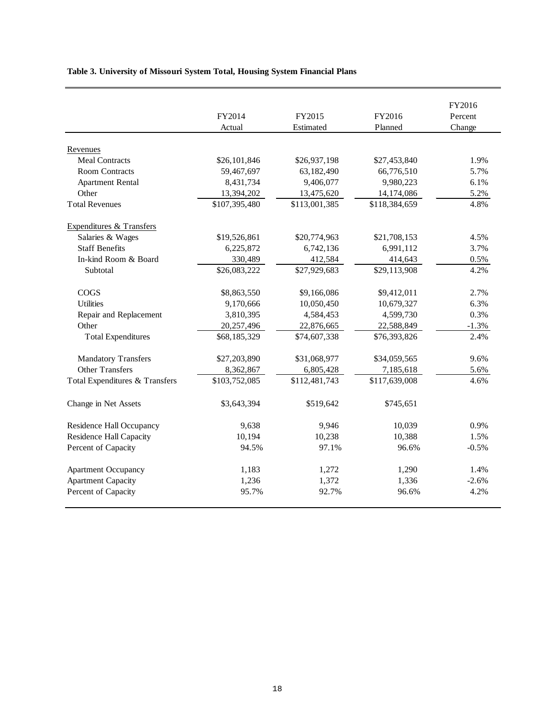## **Table 3. University of Missouri System Total, Housing System Financial Plans**

|                                | FY2014        | FY2015        | FY2016        | FY2016<br>Percent |
|--------------------------------|---------------|---------------|---------------|-------------------|
|                                |               |               |               |                   |
|                                | Actual        | Estimated     | Planned       | Change            |
| Revenues                       |               |               |               |                   |
| <b>Meal Contracts</b>          | \$26,101,846  | \$26,937,198  | \$27,453,840  | 1.9%              |
| <b>Room Contracts</b>          | 59,467,697    | 63,182,490    | 66,776,510    | 5.7%              |
| <b>Apartment Rental</b>        | 8,431,734     | 9,406,077     | 9,980,223     | 6.1%              |
| Other                          | 13,394,202    | 13,475,620    | 14,174,086    | 5.2%              |
| <b>Total Revenues</b>          | \$107,395,480 | \$113,001,385 | \$118,384,659 | 4.8%              |
| Expenditures & Transfers       |               |               |               |                   |
| Salaries & Wages               | \$19,526,861  | \$20,774,963  | \$21,708,153  | 4.5%              |
| <b>Staff Benefits</b>          | 6,225,872     | 6,742,136     | 6,991,112     | 3.7%              |
| In-kind Room & Board           | 330,489       | 412,584       | 414,643       | 0.5%              |
| Subtotal                       | \$26,083,222  | \$27,929,683  | \$29,113,908  | 4.2%              |
| <b>COGS</b>                    | \$8,863,550   | \$9,166,086   | \$9,412,011   | 2.7%              |
| <b>Utilities</b>               | 9,170,666     | 10,050,450    | 10,679,327    | 6.3%              |
| Repair and Replacement         | 3,810,395     | 4,584,453     | 4,599,730     | 0.3%              |
| Other                          | 20,257,496    | 22,876,665    | 22,588,849    | $-1.3%$           |
| <b>Total Expenditures</b>      | \$68,185,329  | \$74,607,338  | \$76,393,826  | 2.4%              |
| <b>Mandatory Transfers</b>     | \$27,203,890  | \$31,068,977  | \$34,059,565  | 9.6%              |
| <b>Other Transfers</b>         | 8,362,867     | 6,805,428     | 7,185,618     | 5.6%              |
| Total Expenditures & Transfers | \$103,752,085 | \$112,481,743 | \$117,639,008 | 4.6%              |
| Change in Net Assets           | \$3,643,394   | \$519,642     | \$745,651     |                   |
| Residence Hall Occupancy       | 9,638         | 9.946         | 10,039        | 0.9%              |
| <b>Residence Hall Capacity</b> | 10,194        | 10,238        | 10,388        | 1.5%              |
| Percent of Capacity            | 94.5%         | 97.1%         | 96.6%         | $-0.5%$           |
| <b>Apartment Occupancy</b>     | 1,183         | 1,272         | 1,290         | 1.4%              |
| <b>Apartment Capacity</b>      | 1,236         | 1,372         | 1,336         | $-2.6%$           |
| Percent of Capacity            | 95.7%         | 92.7%         | 96.6%         | 4.2%              |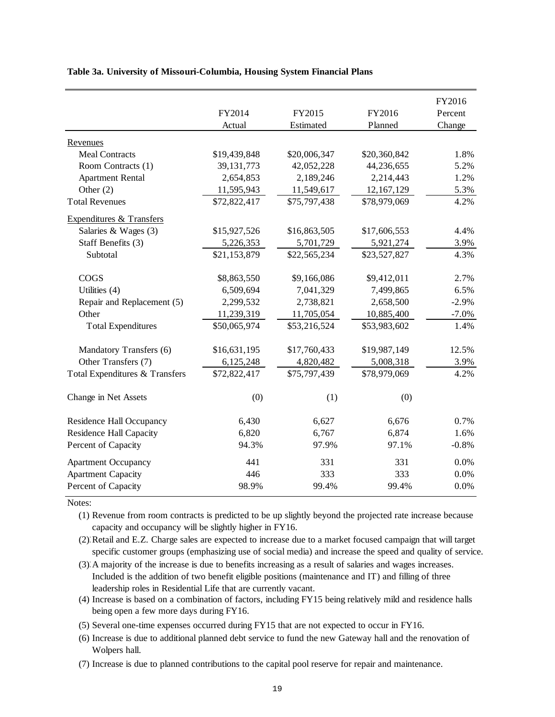|                                     |              |              |              | FY2016  |
|-------------------------------------|--------------|--------------|--------------|---------|
|                                     | FY2014       | FY2015       | FY2016       | Percent |
|                                     | Actual       | Estimated    | Planned      | Change  |
| Revenues                            |              |              |              |         |
| <b>Meal Contracts</b>               | \$19,439,848 | \$20,006,347 | \$20,360,842 | 1.8%    |
| Room Contracts (1)                  | 39, 131, 773 | 42,052,228   | 44,236,655   | 5.2%    |
| <b>Apartment Rental</b>             | 2,654,853    | 2,189,246    | 2,214,443    | 1.2%    |
| Other $(2)$                         | 11,595,943   | 11,549,617   | 12,167,129   | 5.3%    |
| <b>Total Revenues</b>               | \$72,822,417 | \$75,797,438 | \$78,979,069 | 4.2%    |
| <b>Expenditures &amp; Transfers</b> |              |              |              |         |
| Salaries & Wages (3)                | \$15,927,526 | \$16,863,505 | \$17,606,553 | 4.4%    |
| Staff Benefits (3)                  | 5,226,353    | 5,701,729    | 5,921,274    | 3.9%    |
| Subtotal                            | \$21,153,879 | \$22,565,234 | \$23,527,827 | 4.3%    |
| COGS                                | \$8,863,550  | \$9,166,086  | \$9,412,011  | 2.7%    |
| Utilities (4)                       | 6,509,694    | 7,041,329    | 7,499,865    | 6.5%    |
| Repair and Replacement (5)          | 2,299,532    | 2,738,821    | 2,658,500    | $-2.9%$ |
| Other                               | 11,239,319   | 11,705,054   | 10,885,400   | $-7.0%$ |
| <b>Total Expenditures</b>           | \$50,065,974 | \$53,216,524 | \$53,983,602 | 1.4%    |
| Mandatory Transfers (6)             | \$16,631,195 | \$17,760,433 | \$19,987,149 | 12.5%   |
| Other Transfers (7)                 | 6,125,248    | 4,820,482    | 5,008,318    | 3.9%    |
| Total Expenditures & Transfers      | \$72,822,417 | \$75,797,439 | \$78,979,069 | 4.2%    |
| Change in Net Assets                | (0)          | (1)          | (0)          |         |
| Residence Hall Occupancy            | 6,430        | 6,627        | 6,676        | 0.7%    |
| <b>Residence Hall Capacity</b>      | 6,820        | 6,767        | 6,874        | 1.6%    |
| Percent of Capacity                 | 94.3%        | 97.9%        | 97.1%        | $-0.8%$ |
| <b>Apartment Occupancy</b>          | 441          | 331          | 331          | 0.0%    |
| <b>Apartment Capacity</b>           | 446          | 333          | 333          | 0.0%    |
| Percent of Capacity                 | 98.9%        | 99.4%        | 99.4%        | 0.0%    |

**Table 3a. University of Missouri-Columbia, Housing System Financial Plans**

Notes:

(1) Revenue from room contracts is predicted to be up slightly beyond the projected rate increase because capacity and occupancy will be slightly higher in FY16.

(2) Retail and E.Z. Charge sales are expected to increase due to a market focused campaign that will target specific customer groups (emphasizing use of social media) and increase the speed and quality of service.

(3)3 A majority of the increase is due to benefits increasing as a result of salaries and wages increases. Included is the addition of two benefit eligible positions (maintenance and IT) and filling of three leadership roles in Residential Life that are currently vacant.

(4) Increase is based on a combination of factors, including FY15 being relatively mild and residence halls being open a few more days during FY16.

(5) Several one-time expenses occurred during FY15 that are not expected to occur in FY16.

(6) Increase is due to additional planned debt service to fund the new Gateway hall and the renovation of Wolpers hall.

(7) Increase is due to planned contributions to the capital pool reserve for repair and maintenance.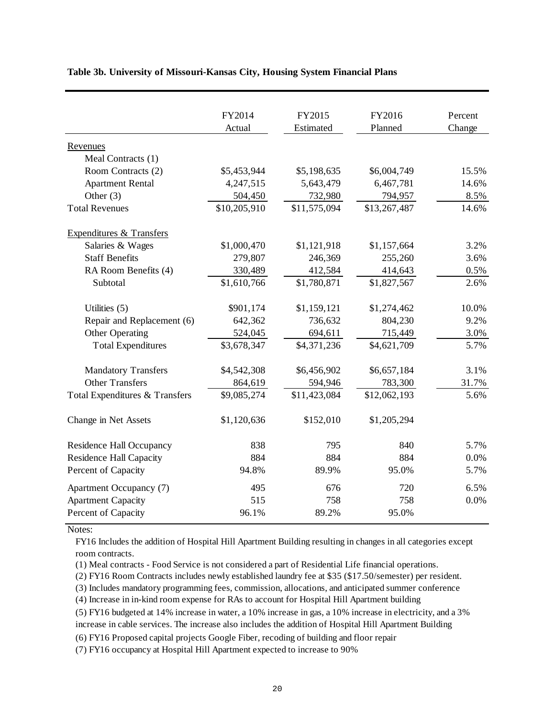|                                     | FY2014       | FY2015       | FY2016       | Percent |
|-------------------------------------|--------------|--------------|--------------|---------|
|                                     | Actual       | Estimated    | Planned      | Change  |
| Revenues                            |              |              |              |         |
| Meal Contracts (1)                  |              |              |              |         |
| Room Contracts (2)                  | \$5,453,944  | \$5,198,635  | \$6,004,749  | 15.5%   |
| <b>Apartment Rental</b>             | 4,247,515    | 5,643,479    | 6,467,781    | 14.6%   |
| Other $(3)$                         | 504,450      | 732,980      | 794,957      | 8.5%    |
| <b>Total Revenues</b>               | \$10,205,910 | \$11,575,094 | \$13,267,487 | 14.6%   |
| <b>Expenditures &amp; Transfers</b> |              |              |              |         |
| Salaries & Wages                    | \$1,000,470  | \$1,121,918  | \$1,157,664  | 3.2%    |
| <b>Staff Benefits</b>               | 279,807      | 246,369      | 255,260      | 3.6%    |
| RA Room Benefits (4)                | 330,489      | 412,584      | 414,643      | 0.5%    |
| Subtotal                            | \$1,610,766  | \$1,780,871  | \$1,827,567  | 2.6%    |
| Utilities $(5)$                     | \$901,174    | \$1,159,121  | \$1,274,462  | 10.0%   |
| Repair and Replacement (6)          | 642,362      | 736,632      | 804,230      | 9.2%    |
| Other Operating                     | 524,045      | 694,611      | 715,449      | 3.0%    |
| <b>Total Expenditures</b>           | \$3,678,347  | \$4,371,236  | \$4,621,709  | 5.7%    |
| <b>Mandatory Transfers</b>          | \$4,542,308  | \$6,456,902  | \$6,657,184  | 3.1%    |
| <b>Other Transfers</b>              | 864,619      | 594,946      | 783,300      | 31.7%   |
| Total Expenditures & Transfers      | \$9,085,274  | \$11,423,084 | \$12,062,193 | 5.6%    |
| Change in Net Assets                | \$1,120,636  | \$152,010    | \$1,205,294  |         |
| Residence Hall Occupancy            | 838          | 795          | 840          | 5.7%    |
| <b>Residence Hall Capacity</b>      | 884          | 884          | 884          | 0.0%    |
| Percent of Capacity                 | 94.8%        | 89.9%        | 95.0%        | 5.7%    |
| Apartment Occupancy (7)             | 495          | 676          | 720          | 6.5%    |
| <b>Apartment Capacity</b>           | 515          | 758          | 758          | 0.0%    |
| Percent of Capacity                 | 96.1%        | 89.2%        | 95.0%        |         |

**Table 3b. University of Missouri-Kansas City, Housing System Financial Plans**

Notes:

FY16 Includes the addition of Hospital Hill Apartment Building resulting in changes in all categories except room contracts.

(1) Meal contracts - Food Service is not considered a part of Residential Life financial operations.

(2) FY16 Room Contracts includes newly established laundry fee at \$35 (\$17.50/semester) per resident.

(3) Includes mandatory programming fees, commission, allocations, and anticipated summer conference

(4) Increase in in-kind room expense for RAs to account for Hospital Hill Apartment building

(5) FY16 budgeted at 14% increase in water, a 10% increase in gas, a 10% increase in electricity, and a 3% increase in cable services. The increase also includes the addition of Hospital Hill Apartment Building

(6) FY16 Proposed capital projects Google Fiber, recoding of building and floor repair

(7) FY16 occupancy at Hospital Hill Apartment expected to increase to 90%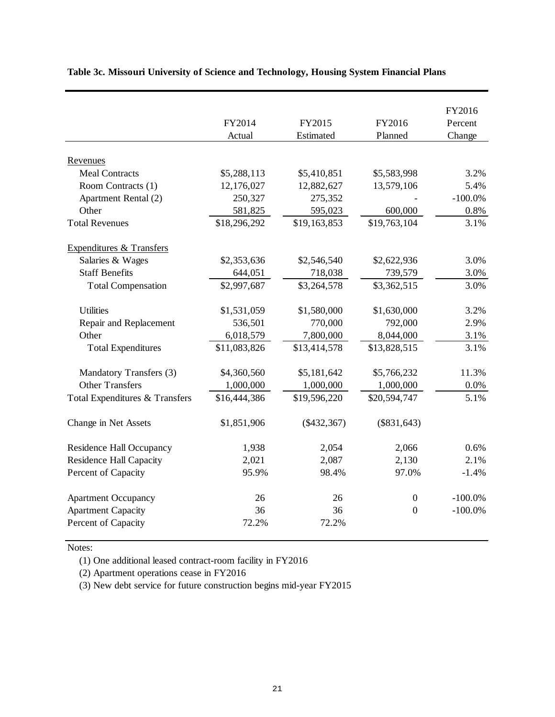|                                     |              |               |                  | FY2016     |
|-------------------------------------|--------------|---------------|------------------|------------|
|                                     | FY2014       | FY2015        | FY2016           | Percent    |
|                                     | Actual       | Estimated     | Planned          | Change     |
|                                     |              |               |                  |            |
| Revenues                            |              |               |                  |            |
| <b>Meal Contracts</b>               | \$5,288,113  | \$5,410,851   | \$5,583,998      | 3.2%       |
| Room Contracts (1)                  | 12,176,027   | 12,882,627    | 13,579,106       | 5.4%       |
| Apartment Rental (2)                | 250,327      | 275,352       |                  | $-100.0\%$ |
| Other                               | 581,825      | 595,023       | 600,000          | 0.8%       |
| <b>Total Revenues</b>               | \$18,296,292 | \$19,163,853  | \$19,763,104     | 3.1%       |
| <b>Expenditures &amp; Transfers</b> |              |               |                  |            |
| Salaries & Wages                    | \$2,353,636  | \$2,546,540   | \$2,622,936      | 3.0%       |
| <b>Staff Benefits</b>               | 644,051      | 718,038       | 739,579          | 3.0%       |
| <b>Total Compensation</b>           | \$2,997,687  | \$3,264,578   | \$3,362,515      | 3.0%       |
| <b>Utilities</b>                    | \$1,531,059  | \$1,580,000   | \$1,630,000      | 3.2%       |
| Repair and Replacement              | 536,501      | 770,000       | 792,000          | 2.9%       |
| Other                               | 6,018,579    | 7,800,000     | 8,044,000        | 3.1%       |
| <b>Total Expenditures</b>           | \$11,083,826 | \$13,414,578  | \$13,828,515     | 3.1%       |
|                                     |              |               |                  |            |
| Mandatory Transfers (3)             | \$4,360,560  | \$5,181,642   | \$5,766,232      | 11.3%      |
| <b>Other Transfers</b>              | 1,000,000    | 1,000,000     | 1,000,000        | 0.0%       |
| Total Expenditures & Transfers      | \$16,444,386 | \$19,596,220  | \$20,594,747     | 5.1%       |
| Change in Net Assets                | \$1,851,906  | $(\$432,367)$ | (\$831,643)      |            |
| <b>Residence Hall Occupancy</b>     | 1,938        | 2,054         | 2,066            | 0.6%       |
| <b>Residence Hall Capacity</b>      | 2,021        | 2,087         | 2,130            | 2.1%       |
| Percent of Capacity                 | 95.9%        | 98.4%         | 97.0%            | $-1.4%$    |
| <b>Apartment Occupancy</b>          | 26           | 26            | $\boldsymbol{0}$ | $-100.0\%$ |
| <b>Apartment Capacity</b>           | 36           | 36            | $\overline{0}$   | $-100.0\%$ |
| Percent of Capacity                 | 72.2%        | 72.2%         |                  |            |
|                                     |              |               |                  |            |

# **Table 3c. Missouri University of Science and Technology, Housing System Financial Plans**

Notes:

(1) One additional leased contract-room facility in FY2016

(2) Apartment operations cease in FY2016

(3) New debt service for future construction begins mid-year FY2015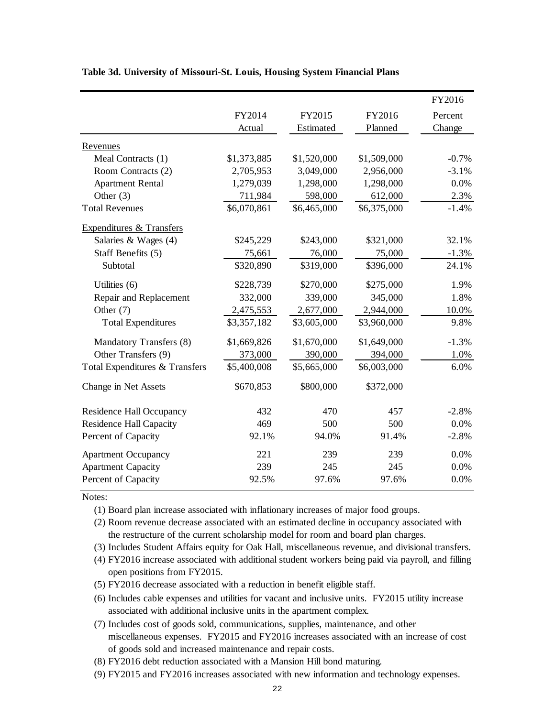|                                     |             |             |             | FY2016  |
|-------------------------------------|-------------|-------------|-------------|---------|
|                                     | FY2014      | FY2015      | FY2016      | Percent |
|                                     | Actual      | Estimated   | Planned     | Change  |
| Revenues                            |             |             |             |         |
| Meal Contracts (1)                  | \$1,373,885 | \$1,520,000 | \$1,509,000 | $-0.7%$ |
| Room Contracts (2)                  | 2,705,953   | 3,049,000   | 2,956,000   | $-3.1%$ |
| <b>Apartment Rental</b>             | 1,279,039   | 1,298,000   | 1,298,000   | 0.0%    |
| Other $(3)$                         | 711,984     | 598,000     | 612,000     | 2.3%    |
| <b>Total Revenues</b>               | \$6,070,861 | \$6,465,000 | \$6,375,000 | $-1.4%$ |
| <b>Expenditures &amp; Transfers</b> |             |             |             |         |
| Salaries & Wages (4)                | \$245,229   | \$243,000   | \$321,000   | 32.1%   |
| Staff Benefits (5)                  | 75,661      | 76,000      | 75,000      | $-1.3%$ |
| Subtotal                            | \$320,890   | \$319,000   | \$396,000   | 24.1%   |
| Utilities (6)                       | \$228,739   | \$270,000   | \$275,000   | 1.9%    |
| Repair and Replacement              | 332,000     | 339,000     | 345,000     | 1.8%    |
| Other (7)                           | 2,475,553   | 2,677,000   | 2,944,000   | 10.0%   |
| <b>Total Expenditures</b>           | \$3,357,182 | \$3,605,000 | \$3,960,000 | 9.8%    |
| Mandatory Transfers (8)             | \$1,669,826 | \$1,670,000 | \$1,649,000 | $-1.3%$ |
| Other Transfers (9)                 | 373,000     | 390,000     | 394,000     | 1.0%    |
| Total Expenditures & Transfers      | \$5,400,008 | \$5,665,000 | \$6,003,000 | 6.0%    |
| Change in Net Assets                | \$670,853   | \$800,000   | \$372,000   |         |
| <b>Residence Hall Occupancy</b>     | 432         | 470         | 457         | $-2.8%$ |
| <b>Residence Hall Capacity</b>      | 469         | 500         | 500         | 0.0%    |
| Percent of Capacity                 | 92.1%       | 94.0%       | 91.4%       | $-2.8%$ |
| <b>Apartment Occupancy</b>          | 221         | 239         | 239         | 0.0%    |
| <b>Apartment Capacity</b>           | 239         | 245         | 245         | 0.0%    |
| Percent of Capacity                 | 92.5%       | 97.6%       | 97.6%       | 0.0%    |

#### **Table 3d. University of Missouri-St. Louis, Housing System Financial Plans**

Notes:

(1) Board plan increase associated with inflationary increases of major food groups.

(2) Room revenue decrease associated with an estimated decline in occupancy associated with the restructure of the current scholarship model for room and board plan charges.

(3) Includes Student Affairs equity for Oak Hall, miscellaneous revenue, and divisional transfers.

- (4) FY2016 increase associated with additional student workers being paid via payroll, and filling open positions from FY2015.
- (5) FY2016 decrease associated with a reduction in benefit eligible staff.

(6) Includes cable expenses and utilities for vacant and inclusive units. FY2015 utility increase associated with additional inclusive units in the apartment complex.

(7) Includes cost of goods sold, communications, supplies, maintenance, and other miscellaneous expenses. FY2015 and FY2016 increases associated with an increase of cost of goods sold and increased maintenance and repair costs.

(8) FY2016 debt reduction associated with a Mansion Hill bond maturing.

(9) FY2015 and FY2016 increases associated with new information and technology expenses.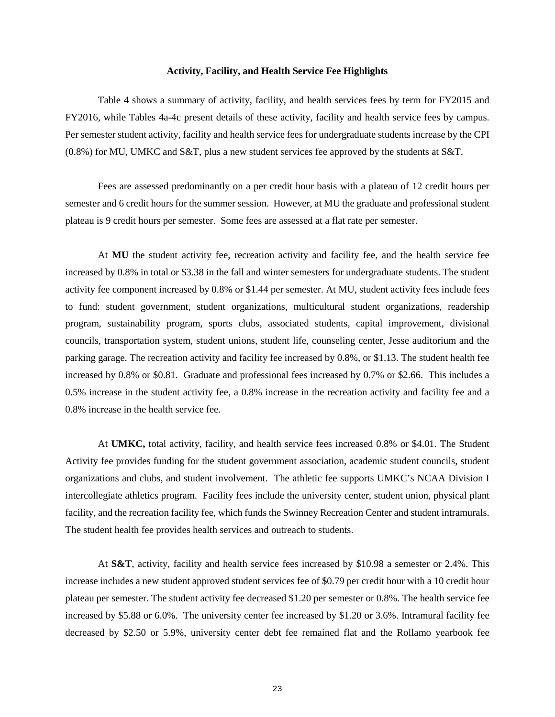#### **Activity, Facility, and Health Service Fee Highlights**

Table 4 shows a summary of activity, facility, and health services fees by term for FY2015 and FY2016, while Tables 4a-4c present details of these activity, facility and health service fees by campus. Per semester student activity, facility and health service fees for undergraduate students increase by the CPI (0.8%) for MU, UMKC and S&T, plus a new student services fee approved by the students at S&T.

Fees are assessed predominantly on a per credit hour basis with a plateau of 12 credit hours per semester and 6 credit hours for the summer session. However, at MU the graduate and professional student plateau is 9 credit hours per semester. Some fees are assessed at a flat rate per semester.

At **MU** the student activity fee, recreation activity and facility fee, and the health service fee increased by 0.8% in total or \$3.38 in the fall and winter semesters for undergraduate students. The student activity fee component increased by 0.8% or \$1.44 per semester. At MU, student activity fees include fees to fund: student government, student organizations, multicultural student organizations, readership program, sustainability program, sports clubs, associated students, capital improvement, divisional councils, transportation system, student unions, student life, counseling center, Jesse auditorium and the parking garage. The recreation activity and facility fee increased by 0.8%, or \$1.13. The student health fee increased by 0.8% or \$0.81. Graduate and professional fees increased by 0.7% or \$2.66. This includes a 0.5% increase in the student activity fee, a 0.8% increase in the recreation activity and facility fee and a 0.8% increase in the health service fee.

At **UMKC,** total activity, facility, and health service fees increased 0.8% or \$4.01. The Student Activity fee provides funding for the student government association, academic student councils, student organizations and clubs, and student involvement. The athletic fee supports UMKC's NCAA Division I intercollegiate athletics program. Facility fees include the university center, student union, physical plant facility, and the recreation facility fee, which funds the Swinney Recreation Center and student intramurals. The student health fee provides health services and outreach to students.

At **S&T**, activity, facility and health service fees increased by \$10.98 a semester or 2.4%. This increase includes a new student approved student services fee of \$0.79 per credit hour with a 10 credit hour plateau per semester. The student activity fee decreased \$1.20 per semester or 0.8%. The health service fee increased by \$5.88 or 6.0%. The university center fee increased by \$1.20 or 3.6%. Intramural facility fee decreased by \$2.50 or 5.9%, university center debt fee remained flat and the Rollamo yearbook fee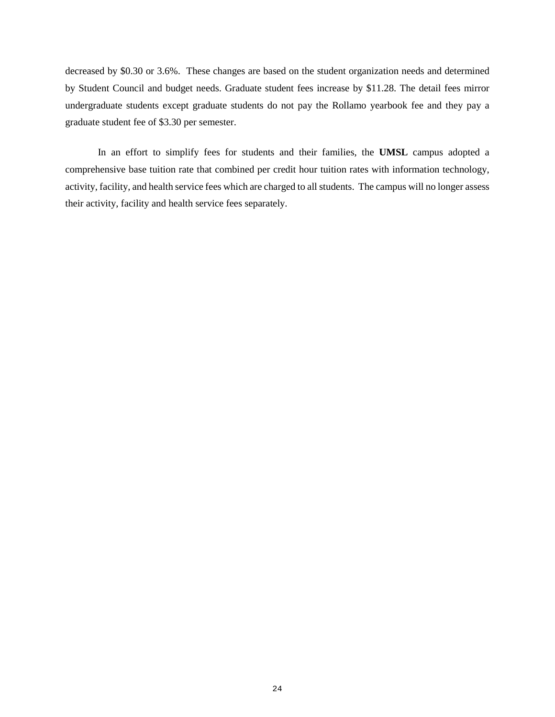decreased by \$0.30 or 3.6%. These changes are based on the student organization needs and determined by Student Council and budget needs. Graduate student fees increase by \$11.28. The detail fees mirror undergraduate students except graduate students do not pay the Rollamo yearbook fee and they pay a graduate student fee of \$3.30 per semester.

In an effort to simplify fees for students and their families, the **UMSL** campus adopted a comprehensive base tuition rate that combined per credit hour tuition rates with information technology, activity, facility, and health service fees which are charged to all students. The campus will no longer assess their activity, facility and health service fees separately.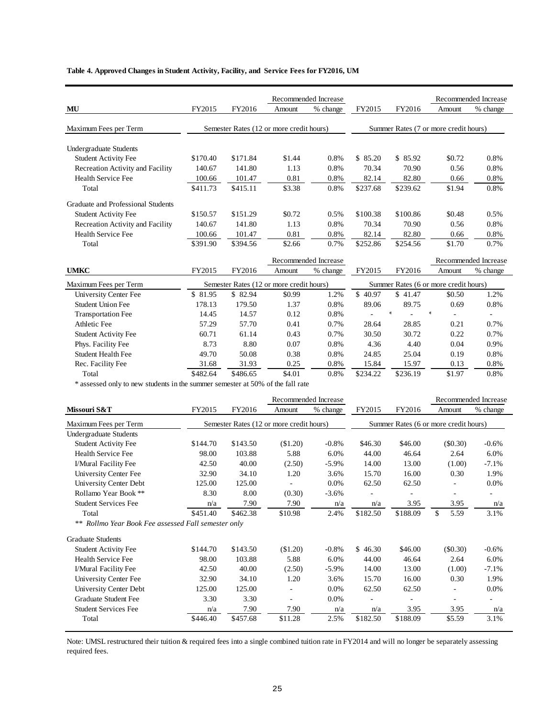### **Table 4. Approved Changes in Student Activity, Facility, and Service Fees for FY2016, UM**

|                                                                                |                    |                    |                                          | Recommended Increase |                   |                   |                                       | Recommended Increase     |
|--------------------------------------------------------------------------------|--------------------|--------------------|------------------------------------------|----------------------|-------------------|-------------------|---------------------------------------|--------------------------|
| $\bf MU$                                                                       | FY2015             | FY2016             | Amount                                   | % change             | FY2015            | FY2016            | Amount                                | % change                 |
|                                                                                |                    |                    |                                          |                      |                   |                   |                                       |                          |
| Maximum Fees per Term                                                          |                    |                    | Semester Rates (12 or more credit hours) |                      |                   |                   | Summer Rates (7 or more credit hours) |                          |
|                                                                                |                    |                    |                                          |                      |                   |                   |                                       |                          |
| Undergraduate Students                                                         | \$170.40           | \$171.84           | \$1.44                                   | 0.8%                 | \$85.20           | \$85.92           | \$0.72                                | 0.8%                     |
| <b>Student Activity Fee</b>                                                    | 140.67             | 141.80             | 1.13                                     | 0.8%                 | 70.34             |                   |                                       | 0.8%                     |
| Recreation Activity and Facility<br>Health Service Fee                         |                    |                    |                                          |                      |                   | 70.90             | 0.56                                  |                          |
| Total                                                                          | 100.66<br>\$411.73 | 101.47<br>\$415.11 | 0.81<br>\$3.38                           | 0.8%<br>0.8%         | 82.14<br>\$237.68 | 82.80<br>\$239.62 | 0.66<br>\$1.94                        | 0.8%<br>0.8%             |
|                                                                                |                    |                    |                                          |                      |                   |                   |                                       |                          |
| Graduate and Professional Students                                             |                    |                    |                                          |                      |                   |                   |                                       |                          |
| <b>Student Activity Fee</b>                                                    | \$150.57           | \$151.29           | \$0.72                                   | 0.5%                 | \$100.38          | \$100.86          | \$0.48                                | 0.5%                     |
| Recreation Activity and Facility                                               | 140.67             | 141.80             | 1.13                                     | 0.8%                 | 70.34             | 70.90             | 0.56                                  | 0.8%                     |
| Health Service Fee                                                             | 100.66             | 101.47             | $0.81\,$                                 | 0.8%                 | 82.14             | 82.80             | 0.66                                  | 0.8%                     |
| Total                                                                          | \$391.90           | \$394.56           | \$2.66                                   | 0.7%                 | \$252.86          | \$254.56          | \$1.70                                | 0.7%                     |
|                                                                                |                    |                    |                                          | Recommended Increase |                   |                   |                                       | Recommended Increase     |
| <b>UMKC</b>                                                                    | FY2015             | FY2016             | Amount                                   | % change             | FY2015            | FY2016            | Amount                                | % change                 |
|                                                                                |                    |                    |                                          |                      |                   |                   |                                       |                          |
| Maximum Fees per Term                                                          |                    |                    | Semester Rates (12 or more credit hours) |                      |                   |                   | Summer Rates (6 or more credit hours) |                          |
| University Center Fee                                                          | \$ 81.95           | \$ 82.94           | \$0.99                                   | 1.2%                 | \$40.97           | \$41.47           | \$0.50                                | 1.2%                     |
| <b>Student Union Fee</b>                                                       | 178.13             | 179.50             | 1.37                                     | 0.8%                 | 89.06             | 89.75<br>$\ast$   | 0.69<br>$\frac{1}{2}$                 | 0.8%                     |
| <b>Transportation Fee</b>                                                      | 14.45              | 14.57              | 0.12                                     | 0.8%                 |                   |                   | ÷.                                    | $\overline{\phantom{a}}$ |
| Athletic Fee                                                                   | 57.29              | 57.70              | 0.41                                     | 0.7%                 | 28.64             | 28.85             | 0.21                                  | 0.7%                     |
| <b>Student Activity Fee</b>                                                    | 60.71              | 61.14              | 0.43                                     | 0.7%                 | 30.50             | 30.72             | 0.22                                  | 0.7%                     |
| Phys. Facility Fee                                                             | 8.73               | 8.80               | 0.07                                     | 0.8%                 | 4.36              | 4.40              | 0.04                                  | 0.9%                     |
| <b>Student Health Fee</b>                                                      | 49.70              | 50.08              | 0.38                                     | 0.8%                 | 24.85             | 25.04             | 0.19                                  | 0.8%                     |
| Rec. Facility Fee                                                              | 31.68              | 31.93              | 0.25                                     | 0.8%                 | 15.84             | 15.97             | 0.13                                  | 0.8%                     |
| Total                                                                          | \$482.64           | \$486.65           | \$4.01                                   | 0.8%                 | \$234.22          | \$236.19          | \$1.97                                | 0.8%                     |
| * assessed only to new students in the summer semester at 50% of the fall rate |                    |                    |                                          |                      |                   |                   |                                       |                          |
|                                                                                |                    |                    |                                          | Recommended Increase |                   |                   |                                       | Recommended Increase     |
| Missouri S&T                                                                   | FY2015             | FY2016             | Amount                                   | % change             | FY2015            | FY2016            | Amount                                | % change                 |
| Maximum Fees per Term                                                          |                    |                    | Semester Rates (12 or more credit hours) |                      |                   |                   | Summer Rates (6 or more credit hours) |                          |
| <b>Undergraduate Students</b>                                                  |                    |                    |                                          |                      |                   |                   |                                       |                          |
| <b>Student Activity Fee</b>                                                    | \$144.70           | \$143.50           | (\$1.20)                                 | $-0.8%$              | \$46.30           | \$46.00           | (\$0.30)                              | $-0.6%$                  |
| Health Service Fee                                                             | 98.00              | 103.88             | 5.88                                     | 6.0%                 | 44.00             | 46.64             | 2.64                                  | 6.0%                     |
| I/Mural Facility Fee                                                           | 42.50              | 40.00              | (2.50)                                   | $-5.9%$              | 14.00             | 13.00             | (1.00)                                | $-7.1%$                  |
| University Center Fee                                                          | 32.90              | 34.10              | 1.20                                     | 3.6%                 | 15.70             | 16.00             | 0.30                                  | 1.9%                     |
| University Center Debt                                                         | 125.00             | 125.00             | $\overline{\phantom{a}}$                 | 0.0%                 | 62.50             | 62.50             | ÷.                                    | 0.0%                     |
| Rollamo Year Book **                                                           | 8.30               | 8.00               | (0.30)                                   | $-3.6%$              |                   |                   |                                       |                          |
| <b>Student Services Fee</b>                                                    | n/a                | 7.90               | 7.90                                     | n/a                  | n/a               | 3.95              | 3.95                                  | n/a                      |
| Total                                                                          | \$451.40           | \$462.38           | \$10.98                                  | 2.4%                 | \$182.50          | \$188.09          | \$<br>5.59                            | 3.1%                     |
| ** Rollmo Year Book Fee assessed Fall semester only                            |                    |                    |                                          |                      |                   |                   |                                       |                          |
| <b>Graduate Students</b>                                                       |                    |                    |                                          |                      |                   |                   |                                       |                          |
| <b>Student Activity Fee</b>                                                    | \$144.70           | \$143.50           | (\$1.20)                                 | $-0.8%$              | \$46.30           | \$46.00           | (\$0.30)                              | $-0.6%$                  |
| Health Service Fee                                                             | 98.00              | 103.88             | 5.88                                     | 6.0%                 | 44.00             | 46.64             | 2.64                                  | 6.0%                     |
| I/Mural Facility Fee                                                           | 42.50              | 40.00              | (2.50)                                   | $-5.9%$              | 14.00             | 13.00             | (1.00)                                | $-7.1%$                  |
| University Center Fee                                                          | 32.90              | 34.10              | 1.20                                     | 3.6%                 | 15.70             | 16.00             | 0.30                                  | 1.9%                     |
| University Center Debt                                                         | 125.00             | 125.00             |                                          | 0.0%                 | 62.50             | 62.50             | ÷,                                    | 0.0%                     |
| Graduate Student Fee                                                           | 3.30               | 3.30               |                                          | 0.0%                 |                   |                   |                                       |                          |
| <b>Student Services Fee</b>                                                    | n/a                | 7.90               | 7.90                                     | n/a                  | n/a               | 3.95              | 3.95                                  | n/a                      |
| Total                                                                          | \$446.40           | \$457.68           | \$11.28                                  | 2.5%                 | \$182.50          | \$188.09          | \$5.59                                | 3.1%                     |
|                                                                                |                    |                    |                                          |                      |                   |                   |                                       |                          |

Note: UMSL restructured their tuition & required fees into a single combined tuition rate in FY2014 and will no longer be separately assessing required fees.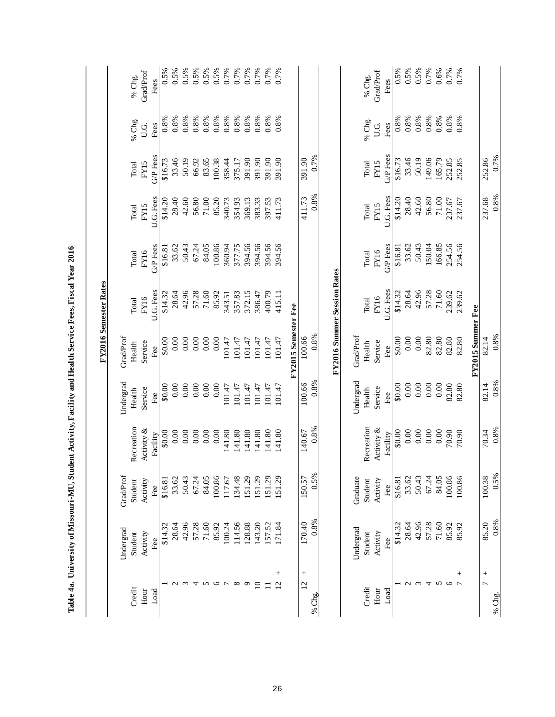|                          |           |           |            |           |                     | FY2016 Semester Rates       |          |           |          |         |           |
|--------------------------|-----------|-----------|------------|-----------|---------------------|-----------------------------|----------|-----------|----------|---------|-----------|
|                          | Undergrad | Grad/Prof |            | Undergrad | GradProf            |                             |          |           |          |         |           |
| Credit                   | Student   | Student   | Recreation | Health    | Health              | Total                       | Total    | Total     | Total    | % Chg.  | % Chg.    |
| Hour                     | Activity  | Activity  | Activity & | Service   | Service             | FY16                        | FY16     | FY15      | FY15     | U.G.    | Grad/Prof |
| Load                     | Fee       | Fee       | Facility   | Fee       | Fee                 | U.G. Fees                   | G/P Fees | U.G. Fees | G/P Fees | Fees    | Fees      |
|                          | \$14.32   | \$16.81   | \$0.00     | \$0.00    | \$0.00              | \$14.32                     | \$16.81  | \$14.20   | \$16.73  | 0.8%    | 0.5%      |
| $\sim$                   | 28.64     | 33.62     | 0.00       | 0.00      | 0.00                | 28.64                       | 33.62    | 28.40     | 33.46    | 0.8%    | 0.5%      |
| $\omega$                 | 42.96     | 50.43     | 0.00       | 0.00      | 0.00                | 42.96                       | 50.43    | 42.60     | 50.19    | 0.8%    | 0.5%      |
| 4                        | 57.28     | 67.24     | 0.00       | 0.00      | 0.00                | 57.28                       | 67.24    | 56.80     | 66.92    | 0.8%    | 0.5%      |
| $\mathbf{\hat{S}}$       | 71.60     | 84.05     | 0.00       | 0.00      | 0.00                | 71.60                       | 84.05    | $71.00\,$ | 83.65    | 0.8%    | 0.5%      |
| $\circ$                  | 85.92     | 100.86    | 0.00       | 0.00      | 0.00                | 85.92                       | 100.86   | 85.20     | 100.38   | 0.8%    | $0.5\%$   |
| $\overline{ }$           | 100.24    | 117.67    | 141.80     | 101.47    | 101.47              | 343.51                      | 360.94   | 340.73    | 358.44   | 0.8%    | 0.7%      |
| $\infty$                 | 114.56    | 134.48    | 141.80     | 101.47    | 101.47              | 357.83                      | 377.75   | 354.93    | 375.17   | 0.8%    | 0.7%      |
| $\circ$                  | 128.88    | 151.29    | 141.80     | 101.47    | 101.47              | 372.15                      | 394.56   | 369.13    | 391.90   | 0.8%    | 0.7%      |
| $\overline{10}$          | 143.20    | 151.29    | 141.80     | 101.47    | 101.47              | 386.47                      | 394.56   | 383.33    | 391.90   | 0.8%    | 0.7%      |
| $\Xi$                    | 157.52    | 151.29    | 141.80     | 101.47    | 101.47              | 400.79                      | 394.56   | 397.53    | 391.90   | 0.8%    | 0.7%      |
| $^{+}$<br>$\overline{2}$ | 171.84    | 151.29    | 141.80     | 101.47    | 101.47              | 415.11                      | 394.56   | 411.73    | 391.90   | 0.8%    | 0.7%      |
|                          |           |           |            |           | FY2015 Semester Fee |                             |          |           |          |         |           |
| $^{+}$<br>$\overline{2}$ | 170.40    | 150.57    | 140.67     | 100.66    | 100.66              |                             |          | 411.73    | 391.90   |         |           |
| % Chg.                   | 0.8%      | 0.5%      | 0.8%       | 0.8%      | 0.8%                |                             |          | 0.8%      | 0.7%     |         |           |
|                          |           |           |            |           |                     | FY2016 Summer Session Rates |          |           |          |         |           |
|                          | Undergrad | Graduate  |            | Undergrad | GradProf            |                             |          |           |          |         |           |
| Credit                   | Student   | Student   | Recreation | Health    | Health              | Total                       | Total    | Total     | Total    | % Chg.  | % Chg.    |
| Hour                     | Activity  | Activity  | Activity & | Service   | Service             | FY16                        | FY16     | FY15      | FY15     | U.G.    | GradProf  |
| Load                     | Fee       | Fee       | Facility   | Fee       | Fee                 | U.G. Fees                   | G/P Fees | U.G. Fees | G/P Fees | Fees    | Fees      |
|                          | \$14.32   | \$16.81   | \$0.00     | \$0.00    | \$0.00              | \$14.32                     | \$16.81  | \$14.20   | \$16.73  | 0.8%    | 0.5%      |
| $\omega$ $\omega$        | 28.64     | 33.62     | 0.00       | 0.00      | 0.00                | 28.64                       | 33.62    | 28.40     | 33.46    | 0.8%    | 0.5%      |
|                          | 42.96     | 50.43     | 0.00       | 0.00      | 0.00                | 42.96                       | 50.43    | 42.60     | 50.19    | $0.8\%$ | 0.5%      |
| $\overline{4}$           | 57.28     | 67.24     | 0.00       | 0.00      | 82.80               | 57.28                       | 150.04   | 56.80     | 149.06   | 0.8%    | 0.7%      |
| $\sim$                   | 71.60     | 84.05     | 0.00       | 0.00      | 82.80               | 71.60                       | 166.85   | 71.00     | 165.79   | 0.8%    | 0.6%      |
| $\circ$                  | 85.92     | 100.86    | 70.90      | 82.80     | 82.80               | 239.62                      | 254.56   | 237.67    | 252.85   | 0.8%    | 0.7%      |
| $^{+}$<br>$\overline{ }$ | 85.92     | 100.86    | 70.90      | 82.80     | 82.80               | 239.62                      | 254.56   | 237.67    | 252.85   | 0.8%    | 0.7%      |
|                          |           |           |            |           | FY2015 Summer Fee   |                             |          |           |          |         |           |
| $^{+}$                   | 85.20     | 100.38    | 70.34      | 82.14     | 82.14               |                             |          | 237.68    | 252.86   |         |           |
| % Chg.                   | 0.8%      | 0.5%      | 0.8%       | 0.8%      | 0.8%                |                             |          | 0.8%      | 0.7%     |         |           |

Table 4a. University of Missouri-MU, Student Activity, Facility and Health Service Fees, Fiscal Year 2016  **Table 4a. University of Missouri-MU, Student Activity, Facility and Health Service Fees, Fiscal Year 2016**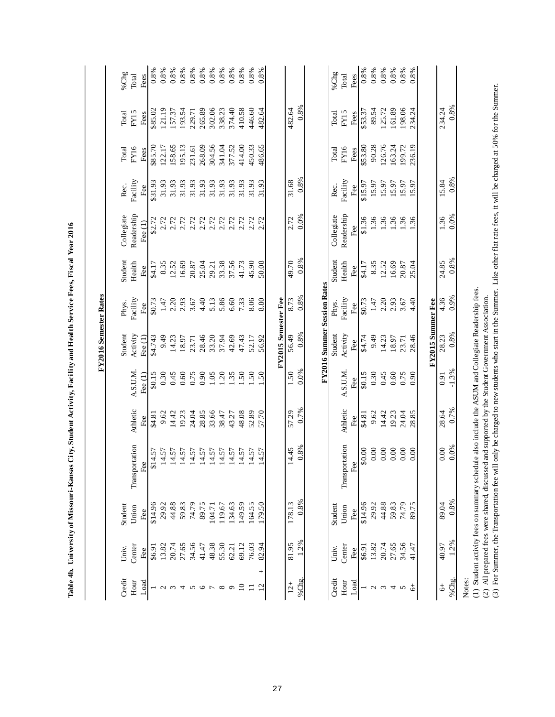|                |                  |              |                                                                                                                                                                                                                                                                                |                 |                      | FY2016 Semester Rates       |                 |               |                         |                 |              |              |                     |
|----------------|------------------|--------------|--------------------------------------------------------------------------------------------------------------------------------------------------------------------------------------------------------------------------------------------------------------------------------|-----------------|----------------------|-----------------------------|-----------------|---------------|-------------------------|-----------------|--------------|--------------|---------------------|
| Credit         | Univ.            | Student      |                                                                                                                                                                                                                                                                                |                 |                      | Student                     | Phys.           | Student       | Collegiate              | Rec.            | Total        | Total        | %Chg                |
| Hour<br>Load   | $C$ enter<br>Fee | Union<br>Fee | portation<br>ee<br>E<br>Transp                                                                                                                                                                                                                                                 | Athletic<br>Fee | A.S.U.M<br>Fee $(1)$ | Activity<br>Fee $(1)$       | Facility<br>Fee | Health<br>Fee | Readership<br>Fee $(1)$ | Facility<br>Fee | FY16<br>Fees | FY15<br>Fees | Fees<br>$\rm Total$ |
|                | 16.94            | \$14.96      | \$14.57                                                                                                                                                                                                                                                                        | \$4.81          | \$0.15               | \$4.743                     | \$0.73          | \$4.17        | \$2.72                  | \$31.93         | \$85.70      | \$85.02      | 0.8%                |
| $\sim$         | 13.82            | 29.92        | 14.57                                                                                                                                                                                                                                                                          | 9.62            | 0.30                 | 9.49                        | 1.47            | 8.35          | 2.72                    | 31.93           | 122.17       | 121.19       | 0.8%                |
| $\epsilon$     | 20.74            | 44.88        | 14.57                                                                                                                                                                                                                                                                          | 14.42           | 0.45                 | 14.23                       | 2.20            | 12.52         | 2.72                    | 31.93           | 158.65       | 157.37       | 0.8%                |
| 4              | 27.65            | 59.83        | 14.57                                                                                                                                                                                                                                                                          | 19.23           | 0.60                 | 18.97                       | 2.93            | 16.69         | 2.72                    | 31.93           | 195.13       | 193.54       | 0.8%                |
| $\sim$         | 34.56            | 74.79        | 14.57                                                                                                                                                                                                                                                                          | 24.04           | 0.75                 | 23.71                       | 3.67            | 20.87         | 2.72                    | 31.93           | 231.61       | 229.71       | 0.8%                |
| $\circ$        | 41.47            | 89.75        | 14.57                                                                                                                                                                                                                                                                          | 28.85           | 0.90                 | 28.46                       | 4.40            | 25.04         | 2.72                    | 31.93           | 268.09       | 265.89       | 0.8%                |
| $\overline{ }$ | 48.38            | 104.71       | 14.57                                                                                                                                                                                                                                                                          | 33.66           | 1.05                 | 33.20                       | 5.13            | 29.21         | 2.72                    | 31.93           | 304.56       | 302.06       | 0.8%                |
| ${}^{\circ}$   | 55.30            | 119.67       | 14.57                                                                                                                                                                                                                                                                          | 38.47           | 1.20                 | 37.94                       | 5.86            | 33.38         | 2.72                    | 31.93           | 341.04       | 338.23       | 0.8%                |
| $\sigma$       | 62.21            | 134.63       | 14.57                                                                                                                                                                                                                                                                          | 43.27           | 1.35                 | 42.69                       | 6.60            | 37.56         | 2.72                    | 31.93           | 377.52       | 374.40       | 0.8%                |
| $\Xi$          | 69.12            | 149.59       | 14.57                                                                                                                                                                                                                                                                          | 48.08           | .50                  | 47.43                       | 7.33            | 41.73         | 2.72                    | 31.93           | 414.00       | 410.58       | 0.8%                |
|                | 76.03            | 164.55       | 14.57                                                                                                                                                                                                                                                                          | 52.89           | 1.50                 | 52.17                       | 8.06            | 45.90         | 2.72                    | 31.93           | 450.33       | 446.60       | 0.8%                |
| $^{+}$         | 82.94            | 179.50       | 14.57                                                                                                                                                                                                                                                                          | 57.70           | 1.50                 | 56.92                       | 8.80            | 50.08         | 2.72                    | 31.93           | 486.65       | 482.64       | 0.8%                |
|                |                  |              |                                                                                                                                                                                                                                                                                |                 |                      | FY2015 Semester Fee         |                 |               |                         |                 |              |              |                     |
| $12 +$         | 81.95            | 178.13       | 14.45                                                                                                                                                                                                                                                                          | 57.29           | 1.50                 | 56.49                       | 8.73            | 49.70         | 2.72                    | 31.68           |              | 482.64       |                     |
| %Chg.          | 1.2%             | 0.8%         | 0.8%                                                                                                                                                                                                                                                                           | 0.7%            | 0.0%                 | 0.8%                        | 0.8%            | 0.8%          | 0.0%                    | 0.8%            |              | 0.8%         |                     |
|                |                  |              |                                                                                                                                                                                                                                                                                |                 |                      | FY2016 Summer Session Rates |                 |               |                         |                 |              |              |                     |
| Credit         | Univ.            | Student      |                                                                                                                                                                                                                                                                                |                 |                      | Student                     | Phys.           | Student       | Collegiate              | Rec.            | Total        | Total        | %Chg                |
| Hour           | Center           | Union        | Transportation                                                                                                                                                                                                                                                                 | Athletic        | A.S.U.M.             | Activity                    | Facility        | Health        | Readership              | Facility        | FY16         | FY15         | Total               |
| Load           | Fee              | Fee          | ಕಿತ್ರಿ                                                                                                                                                                                                                                                                         | Fee             | Fee                  | Fee                         | Fee             | Fee           | Fee                     | Fee             | Fees         | Fees         | Fees                |
|                | \$6.91           | \$14.96      | \$0.00                                                                                                                                                                                                                                                                         | \$4.81          | \$0.15               | \$4.74                      | \$0.73          | \$4.17        | \$1.36                  | \$15.97         | \$53.80      | \$53.37      | 0.8%                |
| $\mathbf{c}$   | 13.82            | 29.92        | 0.00                                                                                                                                                                                                                                                                           | 9.62            | 0.30                 | 9.49                        | 1.47            | 8.35          | 1.36                    | 15.97           | 90.28        | 89.54        | 0.8%                |
| $\mathfrak{c}$ | 20.74            | 44.88        | 0.00                                                                                                                                                                                                                                                                           | 14.42           | 0.45                 | 14.23                       | 2.20            | 12.52         | 1.36                    | 15.97           | 126.76       | 125.72       | 0.8%                |
| 4              | 27.65            | 59.83        | 0.00                                                                                                                                                                                                                                                                           | 19.23           | 0.60                 | 18.97                       | 2.93            | 16.69         | 1.36                    | 15.97           | 163.24       | 161.89       | $0.8\%$             |
| $\sigma$       | 34.56            | 74.79        | 0.00                                                                                                                                                                                                                                                                           | 24.04           | 0.75                 | 23.71                       | 3.67            | 20.87         | 1.36                    | 15.97           | 199.72       | 198.06       | 0.8%                |
| $\frac{4}{6}$  | 41.47            | 89.75        | 0.00                                                                                                                                                                                                                                                                           | 28.85           | 0.90                 | 28.46                       | 4.40            | 25.04         | 1.36                    | 15.97           | 236.19       | 234.24       | 0.8%                |
|                |                  |              |                                                                                                                                                                                                                                                                                |                 |                      | FY2015 Summer Fee           |                 |               |                         |                 |              |              |                     |
| $\ddot{\circ}$ | 40.97            | 89.04        | 0.00                                                                                                                                                                                                                                                                           | 28.64           | 0.91                 | 28.23                       | 4.36            | 24.85         | 1.36                    | 15.84           |              | 234.24       |                     |
| %Chg.          | 1.2%             | 0.8%         | 0.0%                                                                                                                                                                                                                                                                           | 0.7%            | $-1.3%$              | 0.8%                        | 0.9%            | 0.8%          | 0.0%                    | 0.8%            |              | 0.8%         |                     |
| Notes:         |                  |              | (1) Student activity fees on summary schedule also include the ASUM and Collegiate Readership fees.                                                                                                                                                                            |                 |                      |                             |                 |               |                         |                 |              |              |                     |
|                |                  |              | (3) For Summer, the Transportation fee will only be charged to new students who start in the Summer. Like other flat rate fees, it will be charged at 50% for the Summer.<br>(2) All prepared fees were shared, discussed and supported by the Student Government Association. |                 |                      |                             |                 |               |                         |                 |              |              |                     |

Table 4h. University of Missouri-Kansas City, Student Activity, Facility and Health Service Fees, Fiscal Year 2016 **Table 4b. University of Missouri-Kansas City, Student Activity, Facility and Health Service Fees, Fiscal Year 2016**